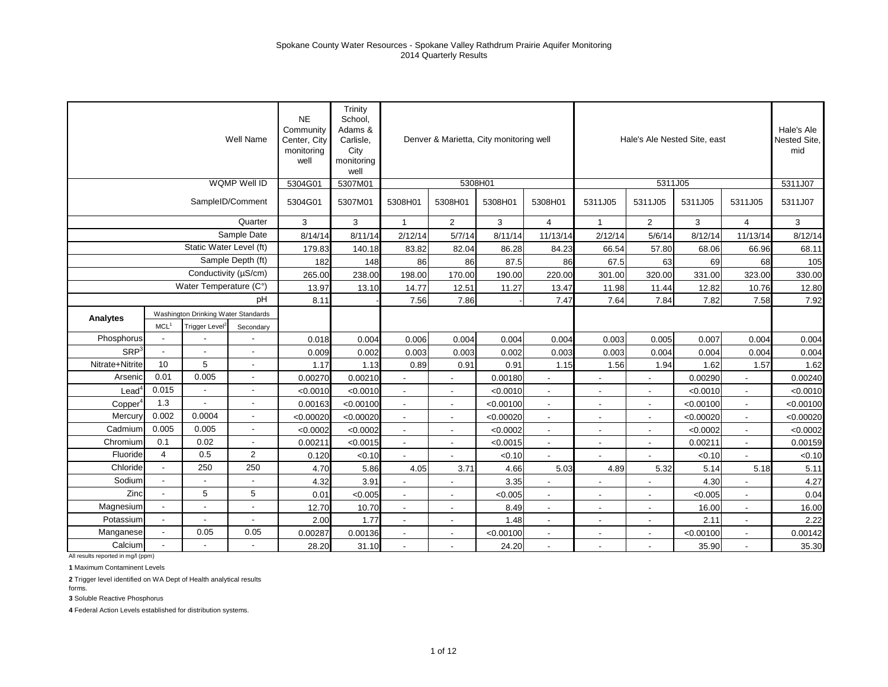|                  |                      |                                     | Well Name                | <b>NE</b><br>Community<br>Center, City<br>monitoring<br>well | Trinity<br>School,<br>Adams &<br>Carlisle,<br>City<br>monitoring<br>well |                          | Denver & Marietta, City monitoring well |           |                          |                          |                          | Hale's Ale Nested Site, east |                          | Hale's Ale<br>Nested Site,<br>mid |
|------------------|----------------------|-------------------------------------|--------------------------|--------------------------------------------------------------|--------------------------------------------------------------------------|--------------------------|-----------------------------------------|-----------|--------------------------|--------------------------|--------------------------|------------------------------|--------------------------|-----------------------------------|
|                  |                      |                                     | WQMP Well ID             | 5304G01                                                      | 5307M01                                                                  |                          | 5308H01                                 |           |                          |                          | 5311J05                  |                              |                          | 5311J07                           |
|                  |                      |                                     | SampleID/Comment         | 5304G01                                                      | 5307M01                                                                  | 5308H01                  | 5308H01                                 | 5308H01   | 5308H01                  | 5311J05                  | 5311J05                  | 5311J05                      | 5311J05                  | 5311J07                           |
|                  |                      |                                     | Quarter                  | 3                                                            | 3                                                                        | $\mathbf{1}$             | $\overline{2}$                          | 3         | 4                        | $\mathbf{1}$             | $\overline{2}$           | 3                            | $\overline{4}$           | 3                                 |
|                  |                      |                                     | Sample Date              | 8/14/14                                                      | 8/11/14                                                                  | 2/12/14                  | 5/7/14                                  | 8/11/14   | 11/13/14                 | 2/12/14                  | 5/6/14                   | 8/12/14                      | 11/13/14                 | 8/12/14                           |
|                  |                      | Static Water Level (ft)             |                          | 179.83                                                       | 140.18                                                                   | 83.82                    | 82.04                                   | 86.28     | 84.23                    | 66.54                    | 57.80                    | 68.06                        | 66.96                    | 68.11                             |
|                  |                      |                                     | Sample Depth (ft)        | 182                                                          | 148                                                                      | 86                       | 86                                      | 87.5      | 86                       | 67.5                     | 63                       | 69                           | 68                       | 105                               |
|                  |                      | Conductivity (µS/cm)                |                          | 265.00                                                       | 238.00                                                                   | 198.00                   | 170.00                                  | 190.00    | 220.00                   | 301.00                   | 320.00                   | 331.00                       | 323.00                   | 330.00                            |
|                  |                      | Water Temperature (C°)              |                          | 13.97                                                        | 13.10                                                                    | 14.77                    | 12.51                                   | 11.27     | 13.47                    | 11.98                    | 11.44                    | 12.82                        | 10.76                    | 12.80                             |
|                  |                      |                                     | pH                       | 8.11                                                         |                                                                          | 7.56                     | 7.86                                    |           | 7.47                     | 7.64                     | 7.84                     | 7.82                         | 7.58                     | 7.92                              |
| Analytes         |                      | Washington Drinking Water Standards |                          |                                                              |                                                                          |                          |                                         |           |                          |                          |                          |                              |                          |                                   |
|                  | MCL <sup>1</sup>     | Trigger Level <sup>2</sup>          | Secondary                |                                                              |                                                                          |                          |                                         |           |                          |                          |                          |                              |                          |                                   |
| Phosphorus       |                      |                                     |                          | 0.018                                                        | 0.004                                                                    | 0.006                    | 0.004                                   | 0.004     | 0.004                    | 0.003                    | 0.005                    | 0.007                        | 0.004                    | 0.004                             |
| SRP <sup>3</sup> | L.                   |                                     | $\overline{\phantom{a}}$ | 0.009                                                        | 0.002                                                                    | 0.003                    | 0.003                                   | 0.002     | 0.003                    | 0.003                    | 0.004                    | 0.004                        | 0.004                    | 0.004                             |
| Nitrate+Nitrite  | 10                   | 5                                   | $\overline{\phantom{a}}$ | 1.17                                                         | 1.13                                                                     | 0.89                     | 0.91                                    | 0.91      | 1.15                     | 1.56                     | 1.94                     | 1.62                         | 1.57                     | 1.62                              |
| Arsenic          | 0.01                 | 0.005                               | $\overline{\phantom{a}}$ | 0.00270                                                      | 0.00210                                                                  |                          |                                         | 0.00180   |                          |                          | $\blacksquare$           | 0.00290                      |                          | 0.00240                           |
| $\text{Lead}^4$  | 0.015                |                                     | $\overline{\phantom{a}}$ | < 0.0010                                                     | < 0.0010                                                                 |                          | $\overline{a}$                          | < 0.0010  |                          |                          |                          | < 0.0010                     |                          | < 0.0010                          |
| Copper           | 1.3                  |                                     | $\blacksquare$           | 0.00163                                                      | < 0.00100                                                                | $\blacksquare$           | $\overline{\phantom{a}}$                | < 0.00100 |                          | $\overline{\phantom{a}}$ | $\overline{\phantom{a}}$ | < 0.00100                    | $\overline{\phantom{a}}$ | < 0.00100                         |
| Mercury          | 0.002                | 0.0004                              | $\overline{\phantom{a}}$ | < 0.00020                                                    | < 0.00020                                                                | $\overline{\phantom{a}}$ | $\overline{\phantom{a}}$                | < 0.00020 | $\overline{\phantom{a}}$ | $\overline{\phantom{a}}$ | $\overline{\phantom{a}}$ | < 0.00020                    | $\sim$                   | < 0.00020                         |
| Cadmium          | 0.005                | 0.005                               | $\overline{\phantom{a}}$ | < 0.0002                                                     | < 0.0002                                                                 | $\blacksquare$           | $\blacksquare$                          | < 0.0002  |                          | $\blacksquare$           | $\blacksquare$           | < 0.0002                     | $\sim$                   | < 0.0002                          |
| Chromium         | 0.1                  | 0.02                                | $\sim$                   | 0.00211                                                      | < 0.0015                                                                 | $\overline{a}$           | $\blacksquare$                          | < 0.0015  |                          |                          | $\blacksquare$           | 0.00211                      | $\overline{a}$           | 0.00159                           |
| Fluoride         | $\overline{4}$       | 0.5                                 | $\overline{2}$           | 0.120                                                        | < 0.10                                                                   |                          |                                         | < 0.10    |                          |                          |                          | < 0.10                       |                          | < 0.10                            |
| Chloride         | $\ddot{\phantom{a}}$ | 250                                 | 250                      | 4.70                                                         | 5.86                                                                     | 4.05                     | 3.71                                    | 4.66      | 5.03                     | 4.89                     | 5.32                     | 5.14                         | 5.18                     | 5.11                              |
| Sodium           |                      |                                     |                          | 4.32                                                         | 3.91                                                                     |                          |                                         | 3.35      |                          |                          |                          | 4.30                         |                          | 4.27                              |
| Zinc             |                      | 5                                   | 5                        | 0.01                                                         | < 0.005                                                                  | $\overline{\phantom{a}}$ | $\overline{\phantom{a}}$                | < 0.005   |                          | $\overline{\phantom{a}}$ | $\overline{\phantom{a}}$ | < 0.005                      | $\overline{\phantom{a}}$ | 0.04                              |
| Magnesium        |                      |                                     | $\overline{\phantom{a}}$ | 12.70                                                        | 10.70                                                                    | $\blacksquare$           | $\overline{\phantom{a}}$                | 8.49      | $\blacksquare$           | $\overline{\phantom{a}}$ | $\overline{\phantom{a}}$ | 16.00                        | $\overline{\phantom{a}}$ | 16.00                             |
| Potassium        | $\overline{a}$       |                                     | $\blacksquare$           | 2.00                                                         | 1.77                                                                     | $\blacksquare$           | $\blacksquare$                          | 1.48      | $\blacksquare$           | $\blacksquare$           | $\blacksquare$           | 2.11                         | $\blacksquare$           | 2.22                              |
| Manganese        |                      | 0.05                                | 0.05                     | 0.00287                                                      | 0.00136                                                                  | $\overline{a}$           | $\blacksquare$                          | < 0.00100 |                          |                          | $\blacksquare$           | < 0.00100                    | $\overline{a}$           | 0.00142                           |
| Calcium          |                      |                                     |                          | 28.20                                                        | 31.10                                                                    |                          |                                         | 24.20     |                          |                          |                          | 35.90                        |                          | 35.30                             |

**1** Maximum Contaminent Levels

**2** Trigger level identified on WA Dept of Health analytical results

forms.

**3** Soluble Reactive Phosphorus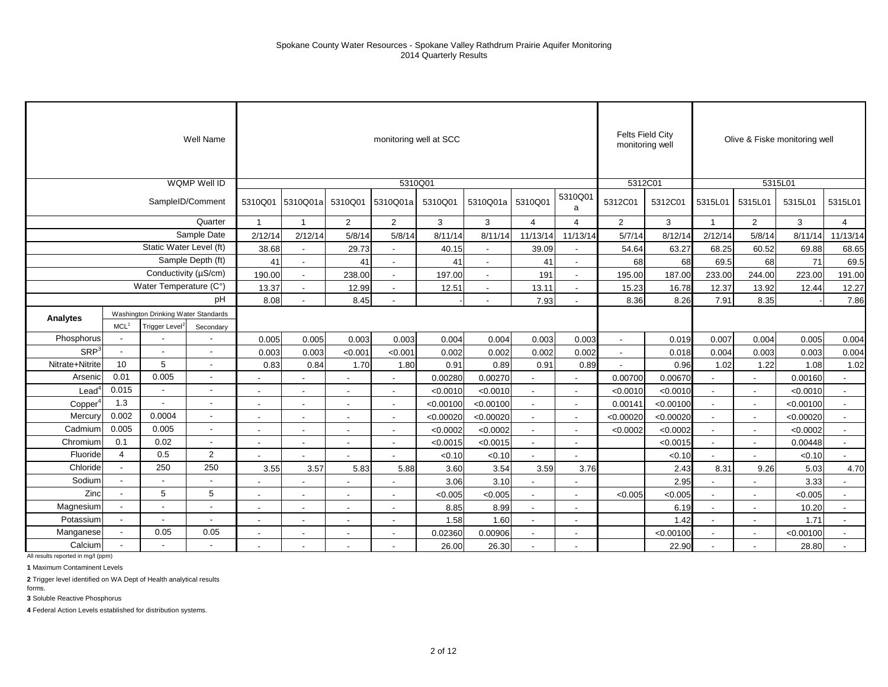|                     |                          |                                     | Well Name                |                          |                          |                          | monitoring well at SCC   |           |                |                          |                          | monitoring well          | <b>Felts Field City</b> |                          |                | Olive & Fiske monitoring well |                          |
|---------------------|--------------------------|-------------------------------------|--------------------------|--------------------------|--------------------------|--------------------------|--------------------------|-----------|----------------|--------------------------|--------------------------|--------------------------|-------------------------|--------------------------|----------------|-------------------------------|--------------------------|
|                     |                          |                                     | <b>WQMP Well ID</b>      |                          |                          |                          | 5310Q01                  |           |                |                          |                          | 5312C01                  |                         |                          |                | 5315L01                       |                          |
|                     |                          | SampleID/Comment                    |                          | 5310Q01                  | 5310Q01a                 | 5310Q01                  | 5310Q01a                 | 5310Q01   | 5310Q01a       | 5310Q01                  | 5310Q01<br>a             | 5312C01                  | 5312C01                 | 5315L01                  | 5315L01        | 5315L01                       | 5315L01                  |
|                     |                          |                                     | Quarter                  | $\overline{1}$           | $\overline{1}$           | $\overline{2}$           | $\overline{2}$           | 3         | 3              | $\overline{4}$           | $\overline{4}$           | $\overline{2}$           | $\mathbf{3}$            | $\mathbf{1}$             | $\overline{2}$ | 3                             | $\overline{4}$           |
|                     |                          |                                     | Sample Date              | 2/12/14                  | 2/12/14                  | 5/8/14                   | 5/8/14                   | 8/11/14   | 8/11/14        | 11/13/14                 | 11/13/14                 | 5/7/14                   | 8/12/14                 | 2/12/14                  | 5/8/14         | 8/11/14                       | 11/13/14                 |
|                     |                          | Static Water Level (ft)             |                          | 38.68                    | $\blacksquare$           | 29.73                    | $\blacksquare$           | 40.15     | $\sim$         | 39.09                    |                          | 54.64                    | 63.27                   | 68.25                    | 60.52          | 69.88                         | 68.65                    |
|                     |                          |                                     | Sample Depth (ft)        | 41                       | $\blacksquare$           | 41                       |                          | 41        | $\blacksquare$ | 41                       | $\overline{\phantom{a}}$ | 68                       | 68                      | 69.5                     | 68             | 71                            | 69.5                     |
|                     |                          | Conductivity (µS/cm)                |                          | 190.00                   |                          | 238.00                   |                          | 197.00    |                | 191                      | $\blacksquare$           | 195.00                   | 187.00                  | 233.00                   | 244.00         | 223.00                        | 191.00                   |
|                     |                          | Water Temperature (C°)              |                          | 13.37                    | $\sim$                   | 12.99                    | $\sim$                   | 12.51     |                | 13.11                    | $\sim$                   | 15.23                    | 16.78                   | 12.37                    | 13.92          | 12.44                         | 12.27                    |
|                     |                          |                                     | рH                       | 8.08                     |                          | 8.45                     |                          |           |                | 7.93                     | $\sim$                   | 8.36                     | 8.26                    | 7.91                     | 8.35           |                               | 7.86                     |
| Analytes            |                          | Washington Drinking Water Standards |                          |                          |                          |                          |                          |           |                |                          |                          |                          |                         |                          |                |                               |                          |
|                     | MCL <sup>1</sup>         | <b>Trigger Level</b>                | Secondary                |                          |                          |                          |                          |           |                |                          |                          |                          |                         |                          |                |                               |                          |
| Phosphorus          | $\overline{\phantom{a}}$ |                                     | $\overline{\phantom{a}}$ | 0.005                    | 0.005                    | 0.003                    | 0.003                    | 0.004     | 0.004          | 0.003                    | 0.003                    | $\overline{\phantom{a}}$ | 0.019                   | 0.007                    | 0.004          | 0.005                         | 0.004                    |
| SRP <sup>3</sup>    | $\overline{\phantom{a}}$ | $\overline{\phantom{a}}$            | $\overline{\phantom{a}}$ | 0.003                    | 0.003                    | < 0.001                  | < 0.00                   | 0.002     | 0.002          | 0.002                    | 0.002                    | $\blacksquare$           | 0.018                   | 0.004                    | 0.003          | 0.003                         | 0.004                    |
| Nitrate+Nitrite     | 10                       | 5                                   | $\blacksquare$           | 0.83                     | 0.84                     | 1.70                     | 1.80                     | 0.91      | 0.89           | 0.91                     | 0.89                     | $\blacksquare$           | 0.96                    | 1.02                     | 1.22           | 1.08                          | 1.02                     |
| Arsenic             | 0.01                     | 0.005                               | $\overline{\phantom{a}}$ |                          |                          | $\blacksquare$           |                          | 0.00280   | 0.00270        |                          |                          | 0.00700                  | 0.00670                 |                          |                | 0.00160                       |                          |
| $\textsf{lead}^4$   | 0.015                    | $\overline{\phantom{a}}$            | $\blacksquare$           |                          |                          | $\blacksquare$           |                          | < 0.0010  | < 0.0010       | $\sim$                   | $\overline{\phantom{a}}$ | < 0.0010                 | < 0.0010                | $\overline{\phantom{a}}$ |                | < 0.0010                      |                          |
| Copper <sup>4</sup> | 1.3                      | $\overline{a}$                      | $\blacksquare$           |                          |                          |                          |                          | < 0.00100 | < 0.00100      |                          | $\overline{a}$           | 0.00141                  | < 0.00100               |                          |                | < 0.00100                     |                          |
| Mercury             | 0.002                    | 0.0004                              | $\blacksquare$           | $\overline{\phantom{a}}$ | $\overline{\phantom{a}}$ | $\overline{\phantom{a}}$ |                          | < 0.00020 | < 0.00020      |                          |                          | < 0.00020                | < 0.00020               | $\overline{\phantom{a}}$ |                | < 0.00020                     |                          |
| Cadmium             | 0.005                    | 0.005                               | $\overline{\phantom{a}}$ | $\overline{\phantom{a}}$ | $\overline{\phantom{a}}$ | $\blacksquare$           | $\overline{\phantom{a}}$ | < 0.0002  | < 0.0002       | $\sim$                   | $\blacksquare$           | < 0.0002                 | < 0.0002                | $\sim$                   | $\sim$         | < 0.0002                      | $\sim$                   |
| Chromium            | 0.1                      | 0.02                                | $\overline{\phantom{a}}$ | $\blacksquare$           | $\overline{\phantom{a}}$ | $\blacksquare$           |                          | < 0.0015  | < 0.0015       | $\sim$                   | $\blacksquare$           |                          | < 0.0015                | $\sim$                   | $\sim$         | 0.00448                       | $\overline{\phantom{a}}$ |
| Fluoride            | 4                        | 0.5                                 | 2                        |                          |                          |                          |                          | < 0.10    | < 0.10         |                          |                          |                          | < 0.10                  |                          |                | < 0.10                        |                          |
| Chloride            | $\overline{\phantom{a}}$ | 250                                 | 250                      | 3.55                     | 3.57                     | 5.83                     | 5.88                     | 3.60      | 3.54           | 3.59                     | 3.76                     |                          | 2.43                    | 8.31                     | 9.26           | 5.03                          | 4.70                     |
| Sodium              | $\blacksquare$           | $\sim$                              | $\overline{\phantom{a}}$ |                          |                          | $\blacksquare$           |                          | 3.06      | 3.10           | $\overline{\phantom{a}}$ |                          |                          | 2.95                    | $\overline{\phantom{a}}$ |                | 3.33                          |                          |
| Zinc                |                          | 5                                   | 5                        |                          |                          |                          |                          | < 0.005   | < 0.005        |                          |                          | < 0.005                  | < 0.005                 |                          |                | < 0.005                       |                          |
| Magnesium           |                          |                                     | $\blacksquare$           |                          |                          |                          |                          | 8.85      | 8.99           | $\overline{\phantom{a}}$ |                          |                          | 6.19                    | $\blacksquare$           |                | 10.20                         |                          |
| Potassium           | $\overline{\phantom{a}}$ | $\overline{\phantom{a}}$            | $\overline{\phantom{a}}$ | $\overline{\phantom{a}}$ | $\blacksquare$           | $\blacksquare$           | $\sim$                   | 1.58      | 1.60           | $\overline{\phantom{a}}$ | $\overline{\phantom{a}}$ |                          | 1.42                    | $\overline{\phantom{a}}$ | $\sim$         | 1.71                          | $\overline{\phantom{a}}$ |
| Manganese           |                          | 0.05                                | 0.05                     |                          |                          | $\blacksquare$           |                          | 0.02360   | 0.00906        | $\blacksquare$           | $\blacksquare$           |                          | < 0.00100               | $\sim$                   |                | < 0.00100                     | $\overline{\phantom{a}}$ |
| Calcium             |                          |                                     |                          |                          |                          |                          |                          | 26.00     | 26.30          |                          |                          |                          | 22.90                   |                          |                | 28.80                         |                          |

**1** Maximum Contaminent Levels

**2** Trigger level identified on WA Dept of Health analytical results

**3** Soluble Reactive Phosphorus forms.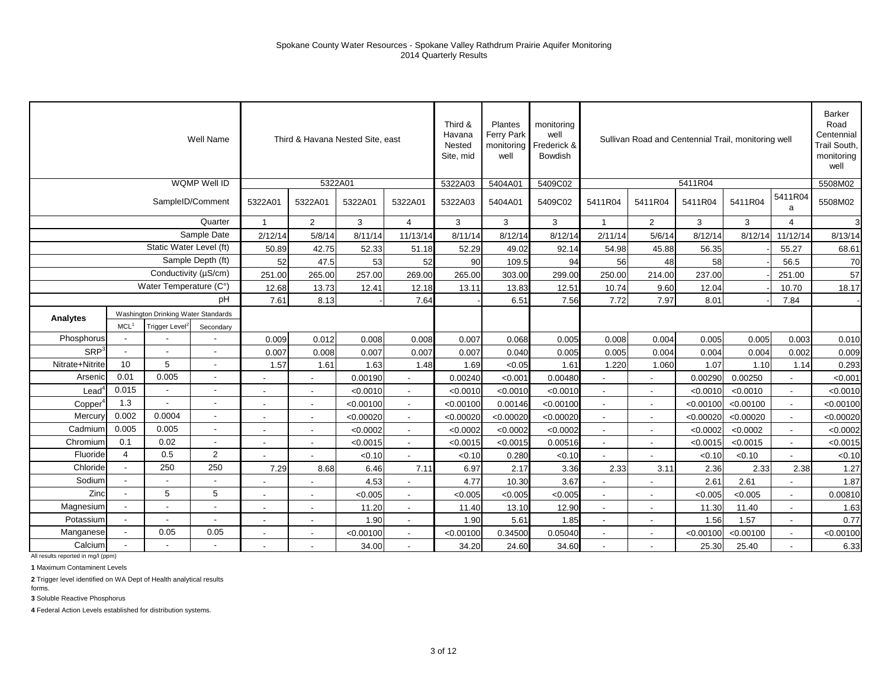|                  |                          |                                     | Well Name                |                          |                          | Third & Havana Nested Site, east |                | Third &<br>Havana<br>Nested<br>Site, mid | Plantes<br>Ferry Park<br>monitoring<br>well | monitoring<br>well<br>Frederick &<br>Bowdish |                          | Sullivan Road and Centennial Trail, monitoring well |           |           |                          | <b>Barker</b><br>Road<br>Centennial<br>Trail South,<br>monitoring<br>well |
|------------------|--------------------------|-------------------------------------|--------------------------|--------------------------|--------------------------|----------------------------------|----------------|------------------------------------------|---------------------------------------------|----------------------------------------------|--------------------------|-----------------------------------------------------|-----------|-----------|--------------------------|---------------------------------------------------------------------------|
|                  |                          |                                     | WQMP Well ID             |                          |                          | 5322A01                          |                | 5322A03                                  | 5404A01                                     | 5409C02                                      |                          |                                                     | 5411R04   |           |                          | 5508M02                                                                   |
|                  |                          |                                     | SampleID/Comment         | 5322A01                  | 5322A01                  | 5322A01                          | 5322A01        | 5322A03                                  | 5404A01                                     | 5409C02                                      | 5411R04                  | 5411R04                                             | 5411R04   | 5411R04   | 5411R04<br>a             | 5508M02                                                                   |
|                  |                          |                                     | Quarter                  | 1                        | $\overline{2}$           | 3                                | $\overline{4}$ | 3                                        | 3                                           | 3                                            | $\mathbf{1}$             | $\overline{2}$                                      | 3         | 3         | 4                        | 3                                                                         |
|                  |                          |                                     | Sample Date              | 2/12/14                  | 5/8/14                   | 8/11/14                          | 11/13/14       | 8/11/14                                  | 8/12/14                                     | 8/12/14                                      | 2/11/14                  | 5/6/14                                              | 8/12/14   | 8/12/14   | 11/12/14                 | 8/13/14                                                                   |
|                  |                          | Static Water Level (ft)             |                          | 50.89                    | 42.75                    | 52.33                            | 51.18          | 52.29                                    | 49.02                                       | 92.14                                        | 54.98                    | 45.88                                               | 56.35     |           | 55.27                    | 68.61                                                                     |
|                  |                          |                                     | Sample Depth (ft)        | 52                       | 47.5                     | 53                               | 52             | 90                                       | 109.5                                       | 94                                           | 56                       | 48                                                  | 58        |           | 56.5                     | 70                                                                        |
|                  |                          | Conductivity (µS/cm)                |                          | 251.00                   | 265.00                   | 257.00                           | 269.00         | 265.00                                   | 303.00                                      | 299.00                                       | 250.00                   | 214.00                                              | 237.00    |           | 251.00                   | 57                                                                        |
|                  |                          | Water Temperature (C°)              |                          | 12.68                    | 13.73                    | 12.41                            | 12.18          | 13.11                                    | 13.83                                       | 12.51                                        | 10.74                    | 9.60                                                | 12.04     |           | 10.70                    | 18.17                                                                     |
|                  |                          |                                     | pH                       | 7.61                     | 8.13                     |                                  | 7.64           |                                          | 6.51                                        | 7.56                                         | 7.72                     | 7.97                                                | 8.01      |           | 7.84                     |                                                                           |
| Analytes         |                          | Washington Drinking Water Standards |                          |                          |                          |                                  |                |                                          |                                             |                                              |                          |                                                     |           |           |                          |                                                                           |
|                  | MCL <sup>1</sup>         | Trigger Level <sup>2</sup>          | Secondary                |                          |                          |                                  |                |                                          |                                             |                                              |                          |                                                     |           |           |                          |                                                                           |
| Phosphorus       |                          |                                     |                          | 0.009                    | 0.012                    | 0.008                            | 0.008          | 0.007                                    | 0.068                                       | 0.005                                        | 0.008                    | 0.004                                               | 0.005     | 0.005     | 0.003                    | 0.010                                                                     |
| SRP <sup>3</sup> | $\overline{\phantom{a}}$ | $\overline{\phantom{a}}$            | $\overline{\phantom{a}}$ | 0.007                    | 0.008                    | 0.007                            | 0.007          | 0.007                                    | 0.040                                       | 0.005                                        | 0.005                    | 0.004                                               | 0.004     | 0.004     | 0.002                    | 0.009                                                                     |
| Nitrate+Nitrite  | 10                       | 5                                   | $\blacksquare$           | 1.57                     | 1.61                     | 1.63                             | 1.48           | 1.69                                     | < 0.05                                      | 1.61                                         | 1.220                    | 1.060                                               | 1.07      | 1.10      | 1.14                     | 0.293                                                                     |
| Arsenic          | 0.01                     | 0.005                               |                          |                          |                          | 0.00190                          |                | 0.00240                                  | < 0.001                                     | 0.00480                                      |                          |                                                     | 0.00290   | 0.00250   |                          | < 0.001                                                                   |
| $\text{Lead}^4$  | 0.015                    | $\sim$                              | $\overline{\phantom{a}}$ |                          | $\overline{a}$           | < 0.0010                         | $\sim$         | < 0.0010                                 | < 0.0010                                    | < 0.0010                                     |                          | ٠                                                   | < 0.0010  | < 0.0010  | $\blacksquare$           | < 0.0010                                                                  |
| Copper           | 1.3                      |                                     |                          |                          |                          | < 0.00100                        |                | < 0.00100                                | 0.00146                                     | < 0.00100                                    |                          |                                                     | < 0.00100 | < 0.00100 |                          | < 0.00100                                                                 |
| Mercury          | 0.002                    | 0.0004                              | $\overline{\phantom{a}}$ |                          | $\blacksquare$           | < 0.00020                        | $\blacksquare$ | < 0.00020                                | < 0.00020                                   | < 0.00020                                    |                          | $\overline{\phantom{a}}$                            | < 0.00020 | < 0.00020 | $\blacksquare$           | < 0.00020                                                                 |
| Cadmium          | 0.005                    | 0.005                               | $\overline{\phantom{a}}$ | $\overline{\phantom{a}}$ | $\overline{\phantom{a}}$ | < 0.0002                         | $\sim$         | < 0.0002                                 | < 0.0002                                    | < 0.0002                                     | $\sim$                   | $\overline{\phantom{a}}$                            | < 0.0002  | < 0.0002  | $\blacksquare$           | < 0.0002                                                                  |
| Chromium         | 0.1                      | 0.02                                | $\overline{\phantom{a}}$ | $\overline{\phantom{a}}$ | $\sim$                   | < 0.0015                         | $\sim$         | < 0.0015                                 | < 0.0015                                    | 0.00516                                      | $\blacksquare$           | $\blacksquare$                                      | < 0.0015  | < 0.0015  | $\blacksquare$           | < 0.0015                                                                  |
| Fluoride         | $\overline{4}$           | 0.5                                 | 2                        |                          |                          | < 0.10                           |                | < 0.10                                   | 0.280                                       | < 0.10                                       |                          |                                                     | < 0.10    | < 0.10    |                          | < 0.10                                                                    |
| Chloride         |                          | 250                                 | 250                      | 7.29                     | 8.68                     | 6.46                             | 7.11           | 6.97                                     | 2.17                                        | 3.36                                         | 2.33                     | 3.11                                                | 2.36      | 2.33      | 2.38                     | 1.27                                                                      |
| Sodium           |                          |                                     |                          |                          | $\blacksquare$           | 4.53                             |                | 4.77                                     | 10.30                                       | 3.67                                         |                          |                                                     | 2.61      | 2.61      |                          | 1.87                                                                      |
| Zinc             |                          | 5                                   | 5                        |                          |                          | < 0.005                          |                | < 0.005                                  | <0.005                                      | < 0.005                                      |                          |                                                     | < 0.005   | < 0.005   |                          | 0.00810                                                                   |
| Magnesium        |                          |                                     | $\overline{\phantom{a}}$ |                          | $\overline{\phantom{a}}$ | 11.20                            | $\blacksquare$ | 11.40                                    | 13.10                                       | 12.90                                        |                          |                                                     | 11.30     | 11.40     |                          | 1.63                                                                      |
| Potassium        |                          |                                     | $\overline{\phantom{a}}$ | $\overline{\phantom{a}}$ | $\overline{\phantom{a}}$ | 1.90                             | $\sim$         | 1.90                                     | 5.61                                        | 1.85                                         | $\overline{\phantom{a}}$ | $\overline{\phantom{a}}$                            | 1.56      | 1.57      | $\overline{\phantom{a}}$ | 0.77                                                                      |
| Manganese        |                          | 0.05                                | 0.05                     | $\overline{\phantom{a}}$ | $\sim$                   | < 0.00100                        | $\sim$         | < 0.00100                                | 0.34500                                     | 0.05040                                      | $\blacksquare$           | $\overline{\phantom{a}}$                            | < 0.00100 | < 0.00100 | $\blacksquare$           | < 0.00100                                                                 |
| Calcium          |                          |                                     |                          |                          |                          | 34.00                            |                | 34.20                                    | 24.60                                       | 34.60                                        |                          |                                                     | 25.30     | 25.40     |                          | 6.33                                                                      |

**1** Maximum Contaminent Levels

**2** Trigger level identified on WA Dept of Health analytical results

forms.

**3** Soluble Reactive Phosphorus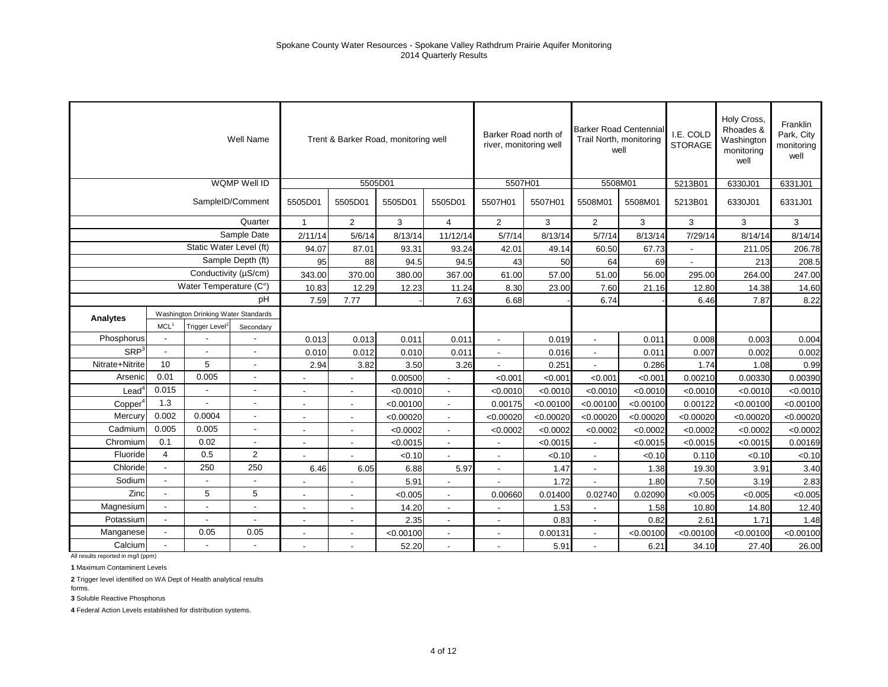|                     |                  |                                     | Well Name                |                          | Trent & Barker Road, monitoring well |           |                      | Barker Road north of<br>river, monitoring well |           | Trail North, monitoring<br>well | <b>Barker Road Centennial</b> | I.E. COLD<br><b>STORAGE</b> | Holy Cross,<br>Rhoades &<br>Washington<br>monitoring | Franklin<br>Park, City<br>monitoring |
|---------------------|------------------|-------------------------------------|--------------------------|--------------------------|--------------------------------------|-----------|----------------------|------------------------------------------------|-----------|---------------------------------|-------------------------------|-----------------------------|------------------------------------------------------|--------------------------------------|
|                     |                  |                                     |                          |                          |                                      |           |                      |                                                |           |                                 |                               |                             | well                                                 | well                                 |
|                     |                  |                                     | WQMP Well ID             |                          | 5505D01                              |           |                      | 5507H01                                        |           | 5508M01                         |                               | 5213B01                     | 6330J01                                              | 6331J01                              |
|                     |                  |                                     | SampleID/Comment         | 5505D01                  | 5505D01                              | 5505D01   | 5505D01              | 5507H01                                        | 5507H01   | 5508M01                         | 5508M01                       | 5213B01                     | 6330J01                                              | 6331J01                              |
|                     |                  |                                     | Quarter                  | $\mathbf{1}$             | $\overline{2}$                       | 3         | $\overline{4}$       | 2                                              | 3         | $\overline{2}$                  | 3                             | 3                           | 3                                                    | 3                                    |
|                     |                  |                                     | Sample Date              | 2/11/14                  | 5/6/14                               | 8/13/14   | 11/12/14             | 5/7/14                                         | 8/13/14   | 5/7/14                          | 8/13/14                       | 7/29/14                     | 8/14/14                                              | 8/14/14                              |
|                     |                  | Static Water Level (ft)             |                          | 94.07                    | 87.01                                | 93.31     | 93.24                | 42.01                                          | 49.14     | 60.50                           | 67.73                         |                             | 211.05                                               | 206.78                               |
|                     |                  |                                     | Sample Depth (ft)        | 95                       | 88                                   | 94.5      | 94.5                 | 43                                             | 50        | 64                              | 69                            |                             | 213                                                  | 208.5                                |
|                     |                  | Conductivity (µS/cm)                |                          | 343.00                   | 370.00                               | 380.00    | 367.00               | 61.00                                          | 57.00     | 51.00                           | 56.00                         | 295.00                      | 264.00                                               | 247.00                               |
|                     |                  | Water Temperature (C°)              |                          | 10.83                    | 12.29                                | 12.23     | 11.24                | 8.30                                           | 23.00     | 7.60                            | 21.16                         | 12.80                       | 14.38                                                | 14.60                                |
|                     |                  |                                     | pН                       | 7.59                     | 7.77                                 |           | 7.63                 | 6.68                                           |           | 6.74                            |                               | 6.46                        | 7.87                                                 | 8.22                                 |
| Analytes            |                  | Washington Drinking Water Standards |                          |                          |                                      |           |                      |                                                |           |                                 |                               |                             |                                                      |                                      |
|                     | MCL <sup>1</sup> | Trigger Level <sup>2</sup>          | Secondary                |                          |                                      |           |                      |                                                |           |                                 |                               |                             |                                                      |                                      |
| Phosphorus          |                  |                                     | $\overline{\phantom{a}}$ | 0.013                    | 0.013                                | 0.011     | 0.011                | $\blacksquare$                                 | 0.019     | $\overline{\phantom{a}}$        | 0.011                         | 0.008                       | 0.003                                                | 0.004                                |
| SRP <sup>3</sup>    |                  |                                     | $\blacksquare$           | 0.010                    | 0.012                                | 0.010     | 0.011                | $\blacksquare$                                 | 0.016     | $\blacksquare$                  | 0.011                         | 0.007                       | 0.002                                                | 0.002                                |
| Nitrate+Nitrite     | 10 <sup>1</sup>  | 5                                   | $\blacksquare$           | 2.94                     | 3.82                                 | 3.50      | 3.26                 |                                                | 0.251     |                                 | 0.286                         | 1.74                        | 1.08                                                 | 0.99                                 |
| Arsenic             | 0.01             | 0.005                               | $\blacksquare$           | $\blacksquare$           |                                      | 0.00500   | $\blacksquare$       | < 0.001                                        | < 0.001   | < 0.001                         | < 0.001                       | 0.00210                     | 0.00330                                              | 0.00390                              |
| $\text{Lead}^4$     | 0.015            |                                     | $\blacksquare$           |                          |                                      | < 0.0010  |                      | < 0.0010                                       | < 0.0010  | < 0.0010                        | < 0.0010                      | < 0.0010                    | < 0.0010                                             | < 0.0010                             |
| Copper <sup>4</sup> | 1.3              |                                     | $\overline{\phantom{a}}$ |                          |                                      | < 0.00100 |                      | 0.00175                                        | < 0.00100 | < 0.00100                       | < 0.00100                     | 0.00122                     | < 0.00100                                            | < 0.00100                            |
| Mercury             | 0.002            | 0.0004                              | $\overline{\phantom{a}}$ | $\blacksquare$           | $\blacksquare$                       | < 0.00020 | $\blacksquare$       | < 0.00020                                      | < 0.00020 | < 0.00020                       | < 0.00020                     | < 0.00020                   | < 0.00020                                            | < 0.00020                            |
| Cadmium             | 0.005            | 0.005                               | $\overline{\phantom{a}}$ | $\blacksquare$           | $\overline{\phantom{a}}$             | < 0.0002  | $\blacksquare$       | < 0.0002                                       | < 0.0002  | < 0.0002                        | < 0.0002                      | < 0.0002                    | < 0.0002                                             | < 0.0002                             |
| Chromium            | 0.1              | 0.02                                | $\blacksquare$           | $\overline{\phantom{a}}$ | $\overline{\phantom{a}}$             | < 0.0015  | $\ddot{\phantom{a}}$ | $\overline{a}$                                 | < 0.0015  | $\mathbf{r}$                    | < 0.0015                      | < 0.0015                    | < 0.0015                                             | 0.00169                              |
| Fluoride            | 4                | 0.5                                 | $\overline{2}$           |                          |                                      | < 0.10    |                      | $\blacksquare$                                 | < 0.10    | $\sim$                          | < 0.10                        | 0.110                       | < 0.10                                               | < 0.10                               |
| Chloride            | $\blacksquare$   | 250                                 | 250                      | 6.46                     | 6.05                                 | 6.88      | 5.97                 | $\blacksquare$                                 | 1.47      | $\blacksquare$                  | 1.38                          | 19.30                       | 3.91                                                 | 3.40                                 |
| Sodium              |                  |                                     |                          |                          |                                      | 5.91      |                      |                                                | 1.72      |                                 | 1.80                          | 7.50                        | 3.19                                                 | 2.83                                 |
| Zinc                |                  | 5                                   | 5                        |                          |                                      | < 0.005   |                      | 0.00660                                        | 0.01400   | 0.02740                         | 0.02090                       | < 0.005                     | < 0.005                                              | < 0.005                              |
| Magnesium           |                  |                                     | $\blacksquare$           | $\blacksquare$           | $\overline{\phantom{a}}$             | 14.20     | $\blacksquare$       | $\blacksquare$                                 | 1.53      | $\blacksquare$                  | 1.58                          | 10.80                       | 14.80                                                | 12.40                                |
| Potassium           | $\blacksquare$   |                                     | $\overline{\phantom{a}}$ | $\blacksquare$           | $\overline{\phantom{a}}$             | 2.35      | $\blacksquare$       | $\overline{\phantom{a}}$                       | 0.83      | $\blacksquare$                  | 0.82                          | 2.61                        | 1.71                                                 | 1.48                                 |
| Manganese           | L,               | 0.05                                | 0.05                     | $\overline{\phantom{a}}$ | $\overline{\phantom{a}}$             | < 0.00100 | $\ddot{\phantom{a}}$ | ÷,                                             | 0.00131   | $\overline{a}$                  | < 0.00100                     | < 0.00100                   | < 0.00100                                            | < 0.00100                            |
| Calcium             |                  |                                     | $\blacksquare$           |                          |                                      | 52.20     |                      |                                                | 5.91      |                                 | 6.21                          | 34.10                       | 27.40                                                | 26.00                                |

**1** Maximum Contaminent Levels

**2** Trigger level identified on WA Dept of Health analytical results

forms.

**3** Soluble Reactive Phosphorus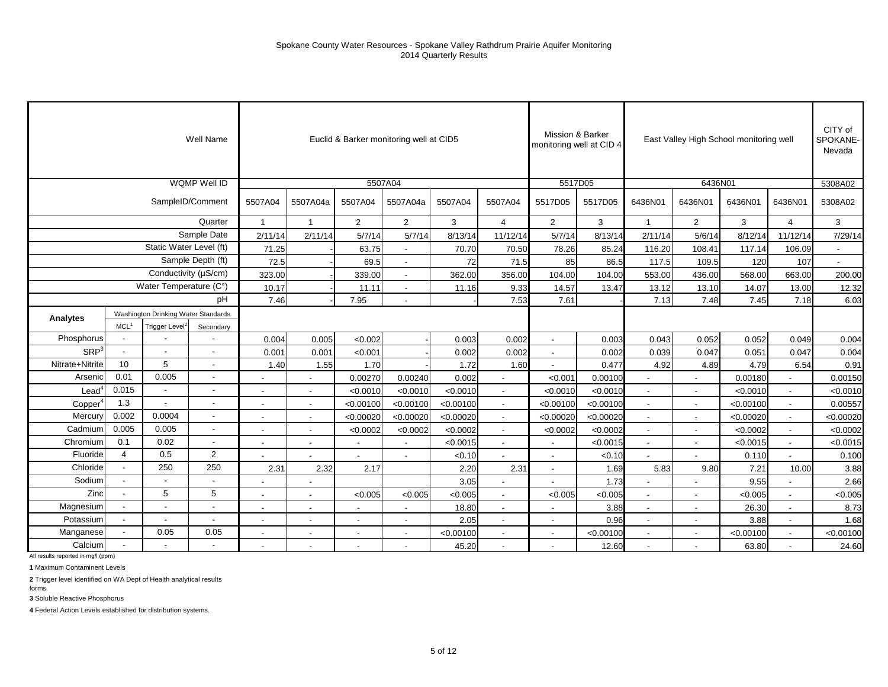|                  |                  |                                     | Well Name                |                          |                          |                          | Euclid & Barker monitoring well at CID5 |           |                          | Mission & Barker<br>monitoring well at CID 4 |           |                          | East Valley High School monitoring well |           |                      | CITY of<br><b>SPOKANE</b><br>Nevada |
|------------------|------------------|-------------------------------------|--------------------------|--------------------------|--------------------------|--------------------------|-----------------------------------------|-----------|--------------------------|----------------------------------------------|-----------|--------------------------|-----------------------------------------|-----------|----------------------|-------------------------------------|
|                  |                  |                                     | <b>WQMP Well ID</b>      |                          |                          |                          | 5507A04                                 |           |                          | 5517D05                                      |           |                          | 6436N01                                 |           |                      | 5308A02                             |
|                  |                  |                                     | SampleID/Comment         | 5507A04                  | 5507A04a                 | 5507A04                  | 5507A04a                                | 5507A04   | 5507A04                  | 5517D05                                      | 5517D05   | 6436N01                  | 6436N01                                 | 6436N01   | 6436N01              | 5308A02                             |
|                  |                  |                                     | Quarter                  | $\mathbf{1}$             | $\mathbf{1}$             | $\overline{2}$           | $\overline{2}$                          | 3         | $\overline{4}$           | $\overline{2}$                               | 3         | $\mathbf{1}$             | $\overline{2}$                          | 3         | $\overline{4}$       | 3                                   |
|                  |                  |                                     | Sample Date              | 2/11/14                  | 2/11/14                  | 5/7/14                   | 5/7/14                                  | 8/13/14   | 11/12/14                 | 5/7/14                                       | 8/13/14   | 2/11/14                  | 5/6/14                                  | 8/12/14   | 11/12/14             | 7/29/14                             |
|                  |                  | Static Water Level (ft)             |                          | 71.25                    |                          | 63.75                    |                                         | 70.70     | 70.50                    | 78.26                                        | 85.24     | 116.20                   | 108.41                                  | 117.14    | 106.09               |                                     |
|                  |                  |                                     | Sample Depth (ft)        | 72.5                     |                          | 69.5                     | $\blacksquare$                          | 72        | 71.5                     | 85                                           | 86.5      | 117.5                    | 109.5                                   | 120       | 107                  | $\overline{\phantom{a}}$            |
|                  |                  | Conductivity (µS/cm)                |                          | 323.00                   |                          | 339.00                   | $\blacksquare$                          | 362.00    | 356.00                   | 104.00                                       | 104.00    | 553.00                   | 436.00                                  | 568.00    | 663.00               | 200.00                              |
|                  |                  | Water Temperature (C°)              |                          | 10.17                    |                          | 11.11                    | $\blacksquare$                          | 11.16     | 9.33                     | 14.57                                        | 13.47     | 13.12                    | 13.10                                   | 14.07     | 13.00                | 12.32                               |
|                  |                  |                                     | pH                       | 7.46                     |                          | 7.95                     | $\overline{\phantom{a}}$                |           | 7.53                     | 7.61                                         |           | 7.13                     | 7.48                                    | 7.45      | 7.18                 | 6.03                                |
| Analytes         |                  | Washington Drinking Water Standards |                          |                          |                          |                          |                                         |           |                          |                                              |           |                          |                                         |           |                      |                                     |
|                  | MCL <sup>1</sup> | Trigger Level <sup>2</sup>          | Secondary                |                          |                          |                          |                                         |           |                          |                                              |           |                          |                                         |           |                      |                                     |
| Phosphorus       |                  |                                     |                          | 0.004                    | 0.005                    | < 0.002                  |                                         | 0.003     | 0.002                    |                                              | 0.003     | 0.043                    | 0.052                                   | 0.052     | 0.049                | 0.004                               |
| SRP <sup>3</sup> |                  | $\blacksquare$                      | $\overline{\phantom{a}}$ | 0.001                    | 0.001                    | < 0.00                   |                                         | 0.002     | 0.002                    | $\overline{\phantom{a}}$                     | 0.002     | 0.039                    | 0.047                                   | 0.051     | 0.047                | 0.004                               |
| Nitrate+Nitrite  | 10               | 5                                   | $\overline{\phantom{a}}$ | 1.40                     | 1.55                     | 1.70                     |                                         | 1.72      | 1.60                     |                                              | 0.477     | 4.92                     | 4.89                                    | 4.79      | 6.54                 | 0.91                                |
| Arsenic          | 0.01             | 0.005                               |                          |                          |                          | 0.00270                  | 0.00240                                 | 0.002     |                          | < 0.001                                      | 0.00100   |                          |                                         | 0.00180   |                      | 0.00150                             |
| $\text{Lead}^4$  | 0.015            | $\overline{\phantom{a}}$            | $\overline{\phantom{a}}$ | $\overline{\phantom{a}}$ | $\sim$                   | < 0.0010                 | < 0.0010                                | < 0.0010  | $\overline{\phantom{a}}$ | < 0.0010                                     | < 0.0010  | $\overline{\phantom{a}}$ | $\blacksquare$                          | < 0.0010  | $\blacksquare$       | < 0.0010                            |
| Copper           | 1.3              | $\overline{\phantom{a}}$            | $\sim$                   |                          |                          | < 0.00100                | < 0.00100                               | < 0.00100 |                          | < 0.00100                                    | < 0.00100 | $\overline{\phantom{a}}$ |                                         | < 0.00100 | $\overline{a}$       | 0.00557                             |
| Mercury          | 0.002            | 0.0004                              |                          |                          |                          | < 0.00020                | < 0.00020                               | < 0.00020 |                          | < 0.00020                                    | < 0.00020 |                          |                                         | < 0.00020 |                      | < 0.00020                           |
| Cadmium          | 0.005            | 0.005                               | $\overline{\phantom{a}}$ | $\overline{\phantom{a}}$ | $\sim$                   | < 0.0002                 | < 0.0002                                | < 0.0002  | $\overline{\phantom{a}}$ | < 0.0002                                     | < 0.0002  | $\overline{\phantom{a}}$ | $\overline{\phantom{a}}$                | < 0.0002  | $\blacksquare$       | < 0.0002                            |
| Chromium         | 0.1              | 0.02                                | $\overline{\phantom{a}}$ | $\overline{\phantom{a}}$ | $\overline{\phantom{a}}$ |                          | $\blacksquare$                          | < 0.0015  | $\blacksquare$           | $\sim$                                       | < 0.0015  | $\overline{\phantom{a}}$ | $\blacksquare$                          | < 0.0015  | $\blacksquare$       | < 0.0015                            |
| Fluoride         | $\overline{4}$   | 0.5                                 | $\overline{2}$           |                          |                          |                          |                                         | < 0.10    |                          |                                              | < 0.10    |                          |                                         | 0.110     |                      | 0.100                               |
| Chloride         |                  | 250                                 | 250                      | 2.31                     | 2.32                     | 2.17                     |                                         | 2.20      | 2.31                     |                                              | 1.69      | 5.83                     | 9.80                                    | 7.21      | 10.00                | 3.88                                |
| Sodium           | $\sim$           | $\blacksquare$                      | $\overline{\phantom{a}}$ |                          | $\sim$                   |                          |                                         | 3.05      | $\sim$                   |                                              | 1.73      | $\sim$                   | $\sim$                                  | 9.55      | $\ddot{\phantom{a}}$ | 2.66                                |
| Zinc             |                  | 5                                   | 5                        |                          |                          | < 0.005                  | < 0.005                                 | < 0.005   |                          | < 0.005                                      | < 0.005   |                          |                                         | < 0.005   | $\blacksquare$       | < 0.005                             |
| Magnesium        |                  |                                     | $\blacksquare$           |                          |                          |                          |                                         | 18.80     |                          |                                              | 3.88      |                          | $\overline{\phantom{a}}$                | 26.30     |                      | 8.73                                |
| Potassium        |                  |                                     | $\overline{\phantom{a}}$ | $\overline{\phantom{a}}$ | $\overline{\phantom{a}}$ | $\overline{\phantom{a}}$ | $\overline{\phantom{a}}$                | 2.05      | $\sim$                   | $\sim$                                       | 0.96      | $\overline{\phantom{a}}$ | $\overline{\phantom{a}}$                | 3.88      | $\sim$               | 1.68                                |
| Manganese        |                  | 0.05                                | 0.05                     | $\overline{\phantom{a}}$ | $\sim$                   |                          | $\blacksquare$                          | < 0.00100 | $\blacksquare$           | $\overline{\phantom{a}}$                     | < 0.00100 | $\overline{\phantom{a}}$ | $\blacksquare$                          | < 0.00100 | $\sim$               | < 0.00100                           |
| Calcium          |                  |                                     |                          |                          |                          |                          |                                         | 45.20     |                          |                                              | 12.60     |                          |                                         | 63.80     |                      | 24.60                               |

**1** Maximum Contaminent Levels

**2** Trigger level identified on WA Dept of Health analytical results

**3** Soluble Reactive Phosphorus forms.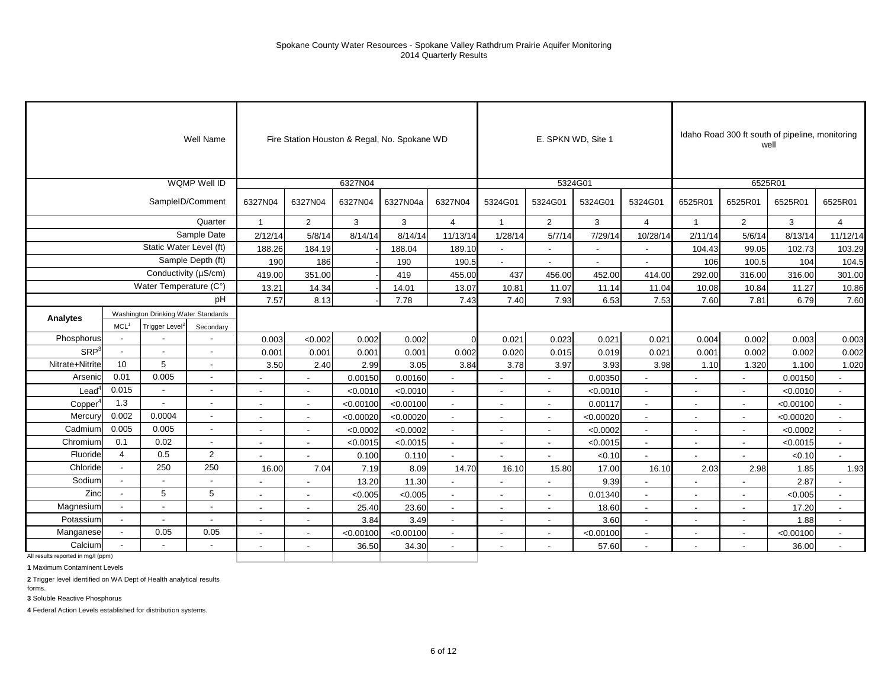|                                    |                          |                                     | Well Name                |                          |                          |           | Fire Station Houston & Regal, No. Spokane WD |                          |                          |                          | E. SPKN WD, Site 1       |                          |                          |                          | Idaho Road 300 ft south of pipeline, monitoring<br>well |                          |
|------------------------------------|--------------------------|-------------------------------------|--------------------------|--------------------------|--------------------------|-----------|----------------------------------------------|--------------------------|--------------------------|--------------------------|--------------------------|--------------------------|--------------------------|--------------------------|---------------------------------------------------------|--------------------------|
|                                    |                          |                                     | WQMP Well ID             |                          |                          | 6327N04   |                                              |                          |                          |                          | 5324G01                  |                          |                          |                          | 6525R01                                                 |                          |
|                                    |                          |                                     | SampleID/Comment         | 6327N04                  | 6327N04                  | 6327N04   | 6327N04a                                     | 6327N04                  | 5324G01                  | 5324G01                  | 5324G01                  | 5324G01                  | 6525R01                  | 6525R01                  | 6525R01                                                 | 6525R01                  |
|                                    |                          |                                     | Quarter                  | $\mathbf{1}$             | $\overline{2}$           | 3         | 3                                            | $\overline{4}$           | $\overline{1}$           | $\overline{2}$           | 3                        | $\overline{4}$           | $\overline{1}$           | $\overline{2}$           | 3                                                       | $\overline{4}$           |
|                                    |                          |                                     | Sample Date              | 2/12/14                  | 5/8/14                   | 8/14/14   | 8/14/14                                      | 11/13/14                 | 1/28/14                  | 5/7/14                   | 7/29/14                  | 10/28/14                 | 2/11/14                  | 5/6/14                   | 8/13/14                                                 | 11/12/14                 |
|                                    |                          | Static Water Level (ft)             |                          | 188.26                   | 184.19                   |           | 188.04                                       | 189.10                   | $\sim$                   | $\overline{\phantom{a}}$ | $\overline{\phantom{a}}$ | $\sim$                   | 104.43                   | 99.05                    | 102.73                                                  | 103.29                   |
|                                    |                          |                                     | Sample Depth (ft)        | 190                      | 186                      |           | 190                                          | 190.5                    | $\overline{a}$           | $\overline{a}$           | ٠                        |                          | 106                      | 100.5                    | 104                                                     | 104.5                    |
|                                    |                          |                                     | Conductivity (µS/cm)     | 419.00                   | 351.00                   |           | 419                                          | 455.00                   | 437                      | 456.00                   | 452.00                   | 414.00                   | 292.00                   | 316.00                   | 316.00                                                  | 301.00                   |
|                                    |                          | Water Temperature (C°)              |                          | 13.21                    | 14.34                    |           | 14.01                                        | 13.07                    | 10.81                    | 11.07                    | 11.14                    | 11.04                    | 10.08                    | 10.84                    | 11.27                                                   | 10.86                    |
|                                    |                          |                                     | pH                       | 7.57                     | 8.13                     |           | 7.78                                         | 7.43                     | 7.40                     | 7.93                     | 6.53                     | 7.53                     | 7.60                     | 7.81                     | 6.79                                                    | 7.60                     |
| Analytes                           |                          | Washington Drinking Water Standards |                          |                          |                          |           |                                              |                          |                          |                          |                          |                          |                          |                          |                                                         |                          |
|                                    | MCL <sup>1</sup>         | Trigger Level <sup>2</sup>          | Secondary                |                          |                          |           |                                              |                          |                          |                          |                          |                          |                          |                          |                                                         |                          |
| Phosphorus                         | $\ddot{\phantom{a}}$     |                                     |                          | 0.003                    | < 0.002                  | 0.002     | 0.002                                        | n                        | 0.021                    | 0.023                    | 0.021                    | 0.021                    | 0.004                    | 0.002                    | 0.003                                                   | 0.003                    |
| SRP <sup>3</sup>                   | $\overline{a}$           | $\overline{a}$                      | $\overline{\phantom{a}}$ | 0.001                    | 0.001                    | 0.001     | 0.001                                        | 0.002                    | 0.020                    | 0.015                    | 0.019                    | 0.021                    | 0.001                    | 0.002                    | 0.002                                                   | 0.002                    |
| Nitrate+Nitrite                    | 10                       | 5                                   | $\blacksquare$           | 3.50                     | 2.40                     | 2.99      | 3.05                                         | 3.84                     | 3.78                     | 3.97                     | 3.93                     | 3.98                     | 1.10                     | 1.320                    | 1.100                                                   | 1.020                    |
| Arsenic                            | 0.01                     | 0.005                               | $\blacksquare$           | $\overline{\phantom{a}}$ | $\sim$                   | 0.00150   | 0.00160                                      | $\overline{\phantom{a}}$ | $\sim$                   | $\sim$                   | 0.00350                  | $\blacksquare$           | $\overline{\phantom{a}}$ | $\blacksquare$           | 0.00150                                                 |                          |
| $L$ ead <sup>4</sup>               | 0.015                    | $\sim$                              | $\overline{\phantom{a}}$ |                          | $\blacksquare$           | < 0.0010  | < 0.0010                                     | $\overline{\phantom{a}}$ | $\overline{\phantom{a}}$ | $\overline{\phantom{a}}$ | < 0.0010                 | $\blacksquare$           | $\blacksquare$           | ٠                        | < 0.0010                                                | $\overline{\phantom{a}}$ |
| Copper <sup>4</sup>                | 1.3                      |                                     | $\overline{\phantom{a}}$ |                          |                          | < 0.00100 | < 0.00100                                    | $\blacksquare$           | $\blacksquare$           |                          | 0.00117                  |                          | $\overline{\phantom{a}}$ | $\overline{\phantom{a}}$ | < 0.00100                                               |                          |
| Mercury                            | 0.002                    | 0.0004                              | $\blacksquare$           |                          | $\blacksquare$           | < 0.00020 | < 0.00020                                    |                          | $\blacksquare$           |                          | < 0.00020                |                          |                          | $\overline{\phantom{a}}$ | < 0.00020                                               |                          |
| Cadmium                            | 0.005                    | 0.005                               | $\blacksquare$           | $\overline{\phantom{a}}$ | $\overline{\phantom{a}}$ | < 0.0002  | < 0.0002                                     | $\overline{\phantom{a}}$ | $\blacksquare$           | $\overline{\phantom{a}}$ | < 0.0002                 | $\overline{\phantom{a}}$ | $\overline{\phantom{a}}$ | $\overline{\phantom{a}}$ | < 0.0002                                                | $\overline{\phantom{a}}$ |
| Chromium                           | 0.1                      | 0.02                                | $\overline{\phantom{a}}$ | $\overline{\phantom{a}}$ | $\overline{\phantom{a}}$ | < 0.0015  | < 0.0015                                     | $\blacksquare$           | $\overline{\phantom{a}}$ | $\sim$                   | < 0.0015                 | $\sim$                   | $\overline{\phantom{a}}$ | $\overline{\phantom{a}}$ | < 0.0015                                                | $\overline{\phantom{a}}$ |
| Fluoride                           | 4                        | 0.5                                 | $\overline{2}$           |                          | $\sim$                   | 0.100     | 0.110                                        | $\overline{a}$           |                          |                          | < 0.10                   |                          |                          | $\overline{a}$           | < 0.10                                                  |                          |
| Chloride                           |                          | 250                                 | 250                      | 16.00                    | 7.04                     | 7.19      | 8.09                                         | 14.70                    | 16.10                    | 15.80                    | 17.00                    | 16.10                    | 2.03                     | 2.98                     | 1.85                                                    | 1.93                     |
| Sodium                             |                          | $\overline{a}$                      |                          |                          |                          | 13.20     | 11.30                                        |                          |                          |                          | 9.39                     |                          |                          |                          | 2.87                                                    |                          |
| Zinc                               | $\blacksquare$           | 5                                   | 5                        | ٠                        | $\sim$                   | < 0.005   | < 0.005                                      | $\blacksquare$           | $\sim$                   | $\sim$                   | 0.01340                  | $\mathbf{r}$             | $\blacksquare$           | ٠                        | < 0.005                                                 | $\sim$                   |
| Magnesium                          |                          | $\overline{\phantom{a}}$            | $\overline{\phantom{a}}$ | ٠                        | $\overline{\phantom{a}}$ | 25.40     | 23.60                                        | $\overline{a}$           | $\overline{a}$           | $\overline{\phantom{a}}$ | 18.60                    | $\overline{a}$           | $\blacksquare$           | $\overline{\phantom{a}}$ | 17.20                                                   | $\overline{\phantom{a}}$ |
| Potassium                          | $\overline{\phantom{a}}$ | $\overline{a}$                      | $\overline{\phantom{a}}$ | $\blacksquare$           | $\blacksquare$           | 3.84      | 3.49                                         | $\blacksquare$           | $\blacksquare$           |                          | 3.60                     | $\blacksquare$           |                          | $\overline{\phantom{a}}$ | 1.88                                                    | $\sim$                   |
| Manganese                          |                          | 0.05                                | 0.05                     | $\blacksquare$           | $\blacksquare$           | < 0.00100 | < 0.00100                                    | $\blacksquare$           | $\blacksquare$           |                          | < 0.00100                |                          | $\overline{\phantom{a}}$ | $\overline{\phantom{a}}$ | < 0.00100                                               |                          |
| Calcium                            |                          |                                     | $\overline{\phantom{a}}$ | $\overline{\phantom{a}}$ | $\overline{\phantom{a}}$ | 36.50     | 34.30                                        | $\overline{\phantom{a}}$ |                          |                          | 57.60                    | $\overline{\phantom{a}}$ | $\overline{\phantom{a}}$ | $\overline{\phantom{a}}$ | 36.00                                                   | $\overline{\phantom{a}}$ |
| All results reported in mg/l (ppm) |                          |                                     |                          |                          |                          |           |                                              |                          |                          |                          |                          |                          |                          |                          |                                                         |                          |

**1** Maximum Contaminent Levels

**2** Trigger level identified on WA Dept of Health analytical results forms.

**3** Soluble Reactive Phosphorus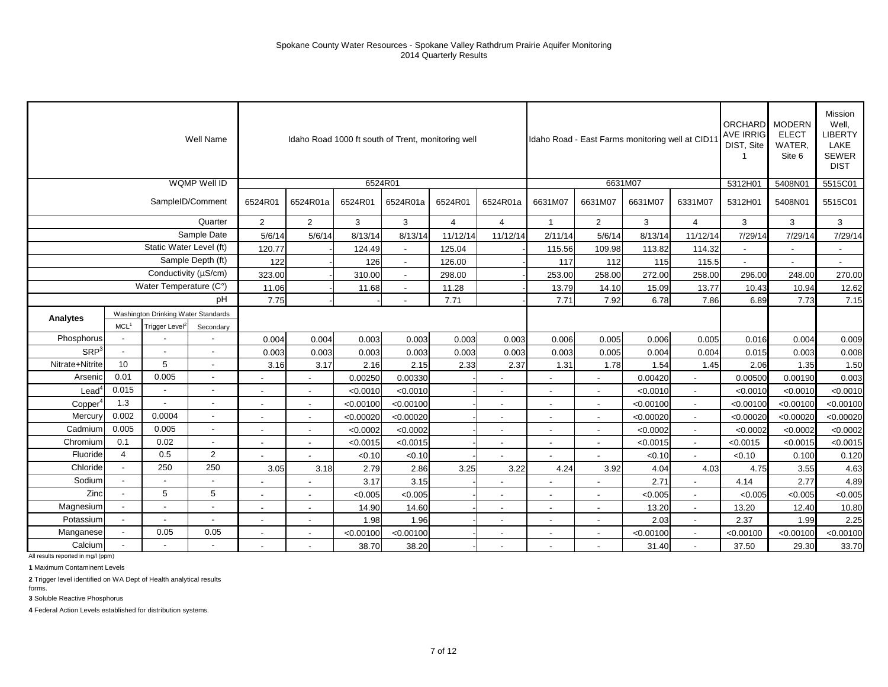|                   |                          |                                     | Well Name                |                          |                          |           | Idaho Road 1000 ft south of Trent, monitoring well |          |                          |                          |                          | Idaho Road - East Farms monitoring well at CID1 |                | ORCHARD MODERN<br><b>AVE IRRIG</b><br>DIST, Site | <b>ELECT</b><br>WATER,<br>Site 6 | Mission<br>Well,<br><b>LIBERTY</b><br>LAKE<br><b>SEWER</b><br><b>DIST</b> |
|-------------------|--------------------------|-------------------------------------|--------------------------|--------------------------|--------------------------|-----------|----------------------------------------------------|----------|--------------------------|--------------------------|--------------------------|-------------------------------------------------|----------------|--------------------------------------------------|----------------------------------|---------------------------------------------------------------------------|
|                   |                          |                                     | <b>WQMP Well ID</b>      |                          |                          |           | 6524R01                                            |          |                          |                          |                          | 6631M07                                         |                | 5312H01                                          | 5408N01                          | 5515C01                                                                   |
|                   |                          |                                     | SampleID/Comment         | 6524R01                  | 6524R01a                 | 6524R01   | 6524R01a                                           | 6524R01  | 6524R01a                 | 6631M07                  | 6631M07                  | 6631M07                                         | 6331M07        | 5312H01                                          | 5408N01                          | 5515C01                                                                   |
|                   |                          |                                     | Quarter                  | $\overline{2}$           | $\overline{2}$           | 3         | 3                                                  | 4        | $\overline{4}$           | $\mathbf{1}$             | $\overline{2}$           | 3                                               | $\overline{4}$ | 3                                                | 3                                | 3                                                                         |
|                   |                          |                                     | Sample Date              | 5/6/14                   | 5/6/14                   | 8/13/14   | 8/13/14                                            | 11/12/14 | 11/12/14                 | 2/11/14                  | 5/6/14                   | 8/13/14                                         | 11/12/14       | 7/29/14                                          | 7/29/14                          | 7/29/14                                                                   |
|                   |                          | Static Water Level (ft)             |                          | 120.77                   |                          | 124.49    |                                                    | 125.04   |                          | 115.56                   | 109.98                   | 113.82                                          | 114.32         | $\blacksquare$                                   | $\overline{\phantom{a}}$         |                                                                           |
|                   |                          |                                     | Sample Depth (ft)        | 122                      |                          | 126       |                                                    | 126.00   |                          | 117                      | 112                      | 115                                             | 115.5          |                                                  |                                  |                                                                           |
|                   |                          | Conductivity (µS/cm)                |                          | 323.00                   |                          | 310.00    | $\sim$                                             | 298.00   |                          | 253.00                   | 258.00                   | 272.00                                          | 258.00         | 296.00                                           | 248.00                           | 270.00                                                                    |
|                   |                          | Water Temperature (C°)              |                          | 11.06                    |                          | 11.68     |                                                    | 11.28    |                          | 13.79                    | 14.10                    | 15.09                                           | 13.77          | 10.43                                            | 10.94                            | 12.62                                                                     |
|                   |                          |                                     | pH                       | 7.75                     |                          |           |                                                    | 7.71     |                          | 7.71                     | 7.92                     | 6.78                                            | 7.86           | 6.89                                             | 7.73                             | 7.15                                                                      |
| Analytes          |                          | Washington Drinking Water Standards |                          |                          |                          |           |                                                    |          |                          |                          |                          |                                                 |                |                                                  |                                  |                                                                           |
|                   | MCL <sup>1</sup>         | Trigger Level <sup>2</sup>          | Secondary                |                          |                          |           |                                                    |          |                          |                          |                          |                                                 |                |                                                  |                                  |                                                                           |
| Phosphorus        |                          |                                     |                          | 0.004                    | 0.004                    | 0.003     | 0.003                                              | 0.003    | 0.003                    | 0.006                    | 0.005                    | 0.006                                           | 0.005          | 0.016                                            | 0.004                            | 0.009                                                                     |
| SRP <sup>3</sup>  |                          |                                     |                          | 0.003                    | 0.003                    | 0.003     | 0.003                                              | 0.003    | 0.003                    | 0.003                    | 0.005                    | 0.004                                           | 0.004          | 0.015                                            | 0.003                            | 0.008                                                                     |
| Nitrate+Nitrite   | 10                       | 5                                   | $\sim$                   | 3.16                     | 3.17                     | 2.16      | 2.15                                               | 2.33     | 2.37                     | 1.31                     | 1.78                     | 1.54                                            | 1.45           | 2.06                                             | 1.35                             | 1.50                                                                      |
| Arsenic           | 0.01                     | 0.005                               |                          |                          |                          | 0.00250   | 0.00330                                            |          |                          |                          |                          | 0.00420                                         |                | 0.00500                                          | 0.00190                          | 0.003                                                                     |
| $\textsf{Lead}^4$ | 0.015                    | $\overline{\phantom{a}}$            | $\overline{\phantom{a}}$ | $\blacksquare$           |                          | < 0.0010  | < 0.0010                                           |          | $\overline{\phantom{a}}$ |                          |                          | < 0.0010                                        |                | < 0.0010                                         | < 0.0010                         | < 0.0010                                                                  |
| Copper            | 1.3                      |                                     |                          | $\overline{\phantom{a}}$ | $\blacksquare$           | < 0.00100 | < 0.00100                                          |          | $\blacksquare$           |                          | $\overline{\phantom{a}}$ | < 0.00100                                       | $\sim$         | < 0.00100                                        | < 0.00100                        | < 0.00100                                                                 |
| Mercury           | 0.002                    | 0.0004                              | $\overline{\phantom{a}}$ | $\sim$                   | $\overline{\phantom{a}}$ | < 0.00020 | < 0.00020                                          |          | $\overline{\phantom{a}}$ | $\overline{\phantom{a}}$ | $\sim$                   | < 0.00020                                       | $\sim$         | < 0.00020                                        | < 0.00020                        | < 0.00020                                                                 |
| Cadmium           | 0.005                    | 0.005                               | $\overline{\phantom{a}}$ | $\overline{a}$           | $\overline{\phantom{a}}$ | < 0.0002  | < 0.0002                                           |          | $\overline{a}$           |                          | $\overline{\phantom{a}}$ | < 0.0002                                        |                | < 0.0002                                         | < 0.0002                         | < 0.0002                                                                  |
| Chromium          | 0.1                      | 0.02                                | $\overline{\phantom{a}}$ |                          |                          | < 0.0015  | < 0.0015                                           |          | $\overline{\phantom{a}}$ |                          | $\blacksquare$           | < 0.0015                                        |                | < 0.0015                                         | < 0.0015                         | < 0.0015                                                                  |
| Fluoride          | 4                        | 0.5                                 | $\overline{2}$           |                          |                          | < 0.10    | < 0.10                                             |          |                          |                          |                          | < 0.10                                          | $\sim$         | < 0.10                                           | 0.100                            | 0.120                                                                     |
| Chloride          | $\overline{\phantom{a}}$ | 250                                 | 250                      | 3.05                     | 3.18                     | 2.79      | 2.86                                               | 3.25     | 3.22                     | 4.24                     | 3.92                     | 4.04                                            | 4.03           | 4.75                                             | 3.55                             | 4.63                                                                      |
| Sodium            |                          |                                     |                          |                          |                          | 3.17      | 3.15                                               |          |                          |                          |                          | 2.71                                            |                | 4.14                                             | 2.77                             | 4.89                                                                      |
| Zinc              |                          | 5                                   | 5                        |                          |                          | < 0.005   | < 0.005                                            |          | $\overline{\phantom{a}}$ |                          |                          | < 0.005                                         |                | < 0.005                                          | < 0.005                          | < 0.005                                                                   |
| Magnesium         |                          | $\blacksquare$                      | $\overline{\phantom{a}}$ | $\sim$                   | $\overline{\phantom{a}}$ | 14.90     | 14.60                                              |          | $\overline{\phantom{a}}$ | $\sim$                   | $\sim$                   | 13.20                                           | $\sim$         | 13.20                                            | 12.40                            | 10.80                                                                     |
| Potassium         |                          | $\overline{\phantom{a}}$            | $\overline{\phantom{a}}$ | $\blacksquare$           | $\blacksquare$           | 1.98      | 1.96                                               |          | $\overline{\phantom{a}}$ |                          | $\blacksquare$           | 2.03                                            |                | 2.37                                             | 1.99                             | 2.25                                                                      |
| Manganese         |                          | 0.05                                | 0.05                     |                          |                          | < 0.00100 | < 0.00100                                          |          | ä,                       |                          | $\blacksquare$           | < 0.00100                                       |                | < 0.00100                                        | < 0.00100                        | < 0.00100                                                                 |
| Calcium           |                          |                                     |                          |                          |                          | 38.70     | 38.20                                              |          |                          |                          |                          | 31.40                                           |                | 37.50                                            | 29.30                            | 33.70                                                                     |

**1** Maximum Contaminent Levels

**2** Trigger level identified on WA Dept of Health analytical results

**3** Soluble Reactive Phosphorus forms.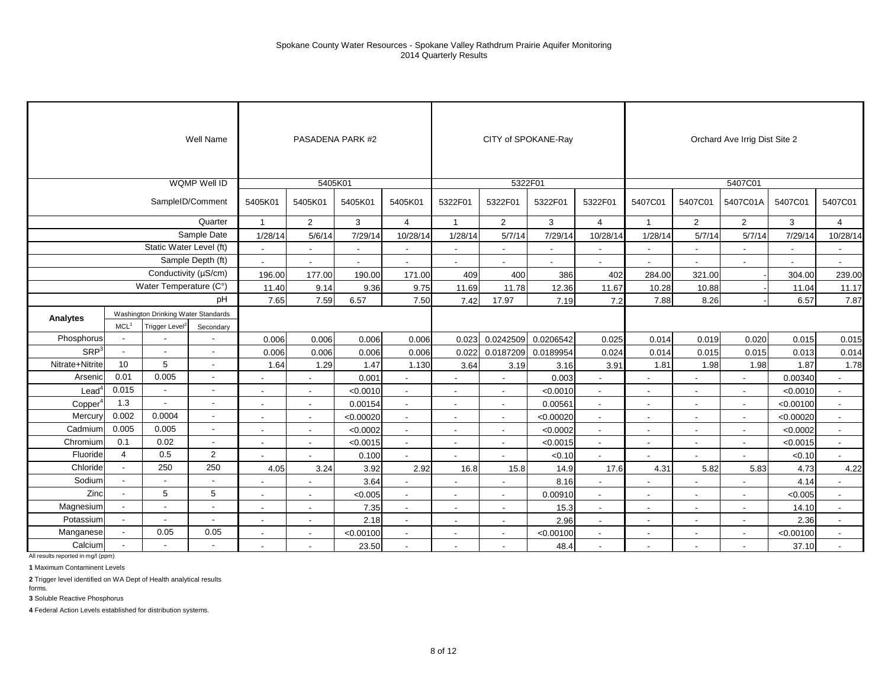|                     |                          |                                     | Well Name                |                          |                          | PASADENA PARK #2         |                          |                          |                          | CITY of SPOKANE-Ray |                          |                          |                          | Orchard Ave Irrig Dist Site 2 |                          |                          |
|---------------------|--------------------------|-------------------------------------|--------------------------|--------------------------|--------------------------|--------------------------|--------------------------|--------------------------|--------------------------|---------------------|--------------------------|--------------------------|--------------------------|-------------------------------|--------------------------|--------------------------|
|                     |                          |                                     | WQMP Well ID             |                          | 5405K01                  |                          |                          |                          |                          | 5322F01             |                          |                          |                          | 5407C01                       |                          |                          |
|                     |                          |                                     | SampleID/Comment         | 5405K01                  | 5405K01                  | 5405K01                  | 5405K01                  | 5322F01                  | 5322F01                  | 5322F01             | 5322F01                  | 5407C01                  | 5407C01                  | 5407C01A                      | 5407C01                  | 5407C01                  |
|                     |                          |                                     | Quarter                  | $\mathbf{1}$             | 2                        | 3                        | $\overline{4}$           | $\mathbf{1}$             | $\overline{2}$           | 3                   | $\overline{4}$           | $\mathbf{1}$             | $\overline{2}$           | $\overline{2}$                | 3                        | $\overline{4}$           |
|                     |                          |                                     | Sample Date              | 1/28/14                  | 5/6/14                   | 7/29/14                  | 10/28/14                 | 1/28/14                  | 5/7/14                   | 7/29/14             | 10/28/14                 | 1/28/14                  | 5/7/14                   | 5/7/14                        | 7/29/14                  | 10/28/14                 |
|                     |                          | Static Water Level (ft)             |                          | $\overline{a}$           |                          | $\blacksquare$           | $\blacksquare$           | $\blacksquare$           |                          |                     | $\overline{a}$           |                          | $\blacksquare$           | ۰                             | $\blacksquare$           | $\blacksquare$           |
|                     |                          |                                     | Sample Depth (ft)        | $\sim$                   | $\overline{\phantom{a}}$ | $\overline{\phantom{a}}$ | $\overline{\phantom{a}}$ | $\overline{\phantom{a}}$ | $\overline{\phantom{a}}$ | $\sim$              | $\overline{\phantom{a}}$ |                          | $\blacksquare$           | $\overline{\phantom{a}}$      | $\overline{\phantom{a}}$ | $\sim$                   |
|                     |                          |                                     | Conductivity (µS/cm)     | 196.00                   | 177.00                   | 190.00                   | 171.00                   | 409                      | 400                      | 386                 | 402                      | 284.00                   | 321.00                   |                               | 304.00                   | 239.00                   |
|                     |                          | Water Temperature (C°)              |                          | 11.40                    | 9.14                     | 9.36                     | 9.75                     | 11.69                    | 11.78                    | 12.36               | 11.67                    | 10.28                    | 10.88                    |                               | 11.04                    | 11.17                    |
|                     |                          |                                     | pH                       | 7.65                     | 7.59                     | 6.57                     | 7.50                     | 7.42                     | 17.97                    | 7.19                | 7.2                      | 7.88                     | 8.26                     |                               | 6.57                     | 7.87                     |
| Analytes            |                          | Washington Drinking Water Standards |                          |                          |                          |                          |                          |                          |                          |                     |                          |                          |                          |                               |                          |                          |
|                     | <b>MCL</b>               | Trigger Level <sup>2</sup>          | Secondary                |                          |                          |                          |                          |                          |                          |                     |                          |                          |                          |                               |                          |                          |
| Phosphorus          |                          |                                     |                          | 0.006                    | 0.006                    | 0.006                    | 0.006                    | 0.023                    | 0.0242509                | 0.0206542           | 0.025                    | 0.014                    | 0.019                    | 0.020                         | 0.015                    | 0.015                    |
| SRP <sup>3</sup>    | $\overline{\phantom{a}}$ |                                     | $\overline{\phantom{a}}$ | 0.006                    | 0.006                    | 0.006                    | 0.006                    | 0.022                    | 0.0187209                | 0.0189954           | 0.024                    | 0.014                    | 0.015                    | 0.015                         | 0.013                    | 0.014                    |
| Nitrate+Nitrite     | 10                       | 5                                   | $\overline{\phantom{a}}$ | 1.64                     | 1.29                     | 1.47                     | 1.130                    | 3.64                     | 3.19                     | 3.16                | 3.91                     | 1.81                     | 1.98                     | 1.98                          | 1.87                     | 1.78                     |
| Arsenic             | 0.01                     | 0.005                               | $\blacksquare$           |                          | $\overline{a}$           | 0.001                    | $\blacksquare$           | $\blacksquare$           |                          | 0.003               | $\blacksquare$           |                          |                          | ٠                             | 0.00340                  |                          |
| $\text{Lead}^4$     | 0.015                    | $\blacksquare$                      | $\overline{\phantom{a}}$ | $\overline{\phantom{a}}$ | $\sim$                   | < 0.0010                 | $\overline{\phantom{a}}$ | $\overline{\phantom{a}}$ | $\overline{\phantom{a}}$ | < 0.0010            | $\sim$                   | $\overline{\phantom{a}}$ | $\overline{\phantom{a}}$ | $\overline{\phantom{a}}$      | < 0.0010                 | $\overline{\phantom{a}}$ |
| Copper <sup>4</sup> | 1.3                      | $\overline{a}$                      | $\blacksquare$           | ٠                        | $\overline{\phantom{a}}$ | 0.00154                  | $\overline{a}$           | $\blacksquare$           | $\blacksquare$           | 0.00561             | $\sim$                   | $\overline{\phantom{a}}$ |                          | $\blacksquare$                | < 0.00100                | $\blacksquare$           |
| Mercury             | 0.002                    | 0.0004                              | $\blacksquare$           | $\overline{\phantom{a}}$ | $\blacksquare$           | < 0.00020                | $\overline{a}$           | $\overline{a}$           | $\blacksquare$           | < 0.00020           | $\sim$                   |                          |                          | $\overline{\phantom{a}}$      | < 0.00020                | $\blacksquare$           |
| Cadmium             | 0.005                    | 0.005                               | $\overline{\phantom{a}}$ | $\overline{\phantom{a}}$ |                          | < 0.0002                 | $\blacksquare$           | $\overline{\phantom{a}}$ | $\overline{\phantom{a}}$ | < 0.0002            | $\sim$                   |                          |                          | $\overline{\phantom{a}}$      | < 0.0002                 | $\blacksquare$           |
| Chromium            | 0.1                      | 0.02                                | $\overline{\phantom{a}}$ | $\overline{\phantom{a}}$ | $\overline{\phantom{a}}$ | < 0.0015                 | $\sim$                   | $\overline{\phantom{a}}$ | $\overline{\phantom{a}}$ | < 0.0015            | $\blacksquare$           | $\overline{\phantom{a}}$ |                          | $\blacksquare$                | < 0.0015                 | $\blacksquare$           |
| Fluoride            | $\overline{4}$           | 0.5                                 | $\overline{2}$           | $\overline{a}$           |                          | 0.100                    | $\overline{a}$           | $\overline{a}$           | $\blacksquare$           | < 0.10              | $\blacksquare$           |                          |                          |                               | < 0.10                   |                          |
| Chloride            | $\blacksquare$           | 250                                 | 250                      | 4.05                     | 3.24                     | 3.92                     | 2.92                     | 16.8                     | 15.8                     | 14.9                | 17.6                     | 4.31                     | 5.82                     | 5.83                          | 4.73                     | 4.22                     |
| Sodium              | $\mathbf{r}$             | $\blacksquare$                      | $\blacksquare$           | $\blacksquare$           | $\sim$                   | 3.64                     | $\sim$                   | $\overline{\phantom{a}}$ | $\overline{\phantom{a}}$ | 8.16                | $\sim$                   | $\sim$                   | $\overline{\phantom{a}}$ | $\overline{\phantom{a}}$      | 4.14                     | $\blacksquare$           |
| Zinc                | $\overline{a}$           | 5                                   | 5                        | $\overline{a}$           | $\overline{a}$           | < 0.005                  | $\overline{a}$           | $\blacksquare$           | $\blacksquare$           | 0.00910             | $\sim$                   |                          |                          | $\blacksquare$                | < 0.005                  |                          |
| Magnesium           |                          | $\overline{\phantom{a}}$            | $\overline{\phantom{a}}$ | $\overline{\phantom{a}}$ | $\sim$                   | 7.35                     |                          | $\overline{\phantom{a}}$ |                          | 15.3                | $\overline{\phantom{a}}$ |                          |                          |                               | 14.10                    | $\overline{\phantom{a}}$ |
| Potassium           |                          | $\overline{\phantom{a}}$            | $\overline{\phantom{a}}$ | $\overline{\phantom{a}}$ | $\overline{\phantom{a}}$ | 2.18                     | $\overline{\phantom{a}}$ | $\sim$                   | $\overline{\phantom{a}}$ | 2.96                | $\sim$                   | $\overline{\phantom{a}}$ | $\overline{\phantom{a}}$ | $\sim$                        | 2.36                     | $\overline{\phantom{a}}$ |
| Manganese           | $\overline{\phantom{a}}$ | 0.05                                | 0.05                     | $\overline{\phantom{a}}$ | $\sim$                   | < 0.00100                | $\sim$                   | $\blacksquare$           | $\overline{\phantom{a}}$ | < 0.00100           | $\overline{\phantom{a}}$ | $\overline{\phantom{a}}$ |                          | $\blacksquare$                | < 0.00100                | $\overline{\phantom{a}}$ |
| Calcium             |                          |                                     | $\overline{a}$           | $\overline{\phantom{a}}$ |                          | 23.50                    |                          |                          |                          | 48.4                |                          |                          |                          |                               | 37.10                    |                          |

**1** Maximum Contaminent Levels

**2** Trigger level identified on WA Dept of Health analytical results

**3** Soluble Reactive Phosphorus forms.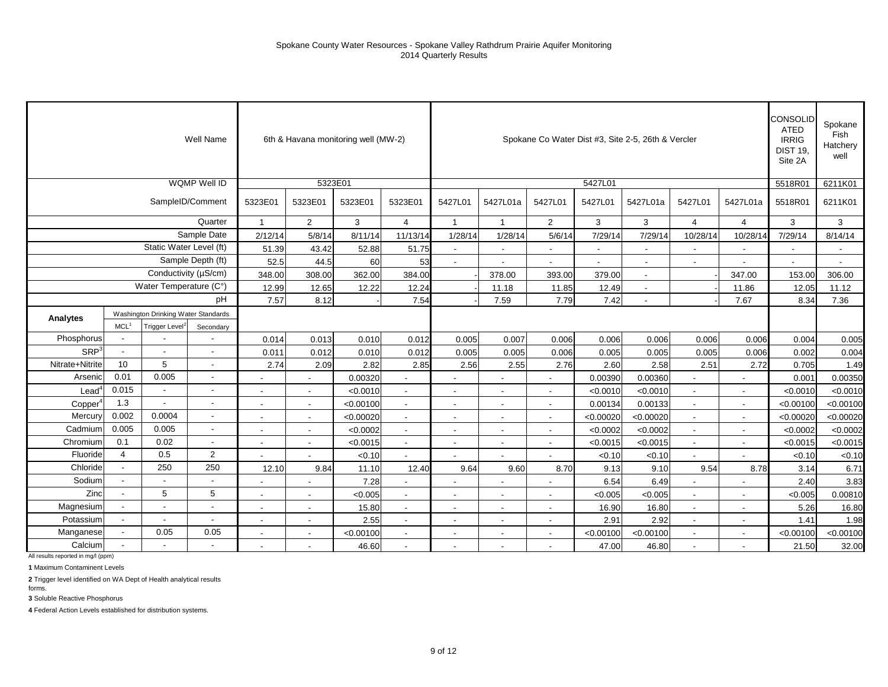## Spokane County Water Resources - Spokane Valley Rathdrum Prairie Aquifer Monitoring 2014 Quarterly Results

|                     |                          |                                     | Well Name                |                          | 6th & Havana monitoring well (MW-2) |           |                          |                          |                          |                          |                          | Spokane Co Water Dist #3, Site 2-5, 26th & Vercler |                          |                          | CONSOLID<br>ATED<br><b>IRRIG</b><br><b>DIST 19.</b><br>Site 2A | Spokane<br>Fish<br>Hatchery<br>well |
|---------------------|--------------------------|-------------------------------------|--------------------------|--------------------------|-------------------------------------|-----------|--------------------------|--------------------------|--------------------------|--------------------------|--------------------------|----------------------------------------------------|--------------------------|--------------------------|----------------------------------------------------------------|-------------------------------------|
|                     |                          |                                     | WQMP Well ID             |                          | 5323E01                             |           |                          |                          |                          |                          | 5427L01                  |                                                    |                          |                          | 5518R01                                                        | 6211K01                             |
|                     |                          |                                     | SampleID/Comment         | 5323E01                  | 5323E01                             | 5323E01   | 5323E01                  | 5427L01                  | 5427L01a                 | 5427L01                  | 5427L01                  | 5427L01a                                           | 5427L01                  | 5427L01a                 | 5518R01                                                        | 6211K01                             |
|                     |                          |                                     | Quarter                  | $\mathbf{1}$             | $\overline{2}$                      | 3         | $\overline{4}$           | $\mathbf{1}$             | $\overline{1}$           | $\overline{2}$           | 3                        | 3                                                  | $\overline{4}$           | $\overline{4}$           | 3                                                              | 3                                   |
|                     |                          |                                     | Sample Date              | 2/12/14                  | 5/8/14                              | 8/11/14   | 11/13/14                 | 1/28/14                  | 1/28/14                  | 5/6/14                   | 7/29/14                  | 7/29/14                                            | 10/28/14                 | 10/28/14                 | 7/29/14                                                        | 8/14/14                             |
|                     |                          | Static Water Level (ft)             |                          | 51.39                    | 43.42                               | 52.88     | 51.75                    | $\mathbf{r}$             | $\overline{\phantom{a}}$ | $\blacksquare$           | $\overline{\phantom{a}}$ | $\overline{\phantom{a}}$                           | $\overline{\phantom{a}}$ | $\overline{\phantom{a}}$ | ä,                                                             | $\blacksquare$                      |
|                     |                          |                                     | Sample Depth (ft)        | 52.5                     | 44.5                                | 60        | 53                       | $\blacksquare$           | $\overline{\phantom{a}}$ |                          |                          | $\mathbf{r}$                                       |                          |                          | $\overline{\phantom{a}}$                                       |                                     |
|                     |                          | Conductivity (µS/cm)                |                          | 348.00                   | 308.00                              | 362.00    | 384.00                   |                          | 378.00                   | 393.00                   | 379.00                   |                                                    |                          | 347.00                   | 153.00                                                         | 306.00                              |
|                     |                          | Water Temperature (C°)              |                          | 12.99                    | 12.65                               | 12.22     | 12.24                    |                          | 11.18                    | 11.85                    | 12.49                    | $\sim$                                             |                          | 11.86                    | 12.05                                                          | 11.12                               |
|                     |                          |                                     | pH                       | 7.57                     | 8.12                                |           | 7.54                     |                          | 7.59                     | 7.79                     | 7.42                     |                                                    |                          | 7.67                     | 8.34                                                           | 7.36                                |
| Analytes            |                          | Washington Drinking Water Standards |                          |                          |                                     |           |                          |                          |                          |                          |                          |                                                    |                          |                          |                                                                |                                     |
|                     | MCL <sup>1</sup>         | Trigger Level <sup>2</sup>          | Secondary                |                          |                                     |           |                          |                          |                          |                          |                          |                                                    |                          |                          |                                                                |                                     |
| Phosphorus          |                          |                                     |                          | 0.014                    | 0.013                               | 0.010     | 0.012                    | 0.005                    | 0.007                    | 0.006                    | 0.006                    | 0.006                                              | 0.006                    | 0.006                    | 0.004                                                          | 0.005                               |
| SRP <sup>3</sup>    |                          | $\sim$                              |                          | 0.011                    | 0.012                               | 0.010     | 0.012                    | 0.005                    | 0.005                    | 0.006                    | 0.005                    | 0.005                                              | 0.005                    | 0.006                    | 0.002                                                          | 0.004                               |
| Nitrate+Nitrite     | 10                       | 5                                   |                          | 2.74                     | 2.09                                | 2.82      | 2.85                     | 2.56                     | 2.55                     | 2.76                     | 2.60                     | 2.58                                               | 2.51                     | 2.72                     | 0.705                                                          | 1.49                                |
| Arsenic             | 0.01                     | 0.005                               |                          |                          |                                     | 0.00320   |                          | $\blacksquare$           | $\blacksquare$           | $\overline{\phantom{a}}$ | 0.00390                  | 0.00360                                            |                          |                          | 0.001                                                          | 0.00350                             |
| $\text{Lead}^4$     | 0.015                    | $\overline{\phantom{a}}$            |                          |                          | $\blacksquare$                      | < 0.0010  | $\blacksquare$           | $\overline{\phantom{a}}$ | $\blacksquare$           |                          | < 0.0010                 | < 0.0010                                           | $\blacksquare$           |                          | < 0.0010                                                       | < 0.0010                            |
| Copper <sup>4</sup> | 1.3                      |                                     |                          |                          |                                     | < 0.00100 | $\sim$                   | $\blacksquare$           | $\overline{\phantom{a}}$ |                          | 0.00134                  | 0.00133                                            | $\blacksquare$           |                          | < 0.00100                                                      | < 0.00100                           |
| Mercury             | 0.002                    | 0.0004                              |                          |                          | $\blacksquare$                      | < 0.00020 | $\overline{\phantom{a}}$ | $\blacksquare$           | $\blacksquare$           | $\blacksquare$           | < 0.00020                | < 0.00020                                          | $\blacksquare$           |                          | < 0.00020                                                      | < 0.00020                           |
| Cadmium             | 0.005                    | 0.005                               | $\overline{\phantom{a}}$ | $\blacksquare$           | $\sim$                              | < 0.0002  | $\sim$                   | $\overline{\phantom{a}}$ | $\overline{\phantom{a}}$ | $\sim$                   | < 0.0002                 | < 0.0002                                           | $\blacksquare$           | $\sim$                   | < 0.0002                                                       | < 0.0002                            |
| Chromium            | 0.1                      | 0.02                                | $\overline{\phantom{a}}$ | $\blacksquare$           | $\overline{\phantom{a}}$            | < 0.0015  | $\overline{\phantom{a}}$ | $\blacksquare$           | $\blacksquare$           | $\overline{\phantom{a}}$ | < 0.0015                 | < 0.0015                                           | $\blacksquare$           | $\sim$                   | < 0.0015                                                       | < 0.0015                            |
| Fluoride            | $\overline{4}$           | 0.5                                 | 2                        |                          |                                     | < 0.10    |                          |                          |                          |                          | < 0.10                   | < 0.10                                             |                          |                          | < 0.10                                                         | < 0.10                              |
| Chloride            | $\sim$                   | 250                                 | 250                      | 12.10                    | 9.84                                | 11.10     | 12.40                    | 9.64                     | 9.60                     | 8.70                     | 9.13                     | 9.10                                               | 9.54                     | 8.78                     | 3.14                                                           | 6.71                                |
| Sodium              | $\overline{\phantom{a}}$ | $\sim$                              |                          |                          | $\sim$                              | 7.28      | $\overline{\phantom{a}}$ | $\overline{a}$           | $\sim$                   | $\overline{\phantom{a}}$ | 6.54                     | 6.49                                               | $\sim$                   |                          | 2.40                                                           | 3.83                                |
| Zinc                |                          | 5                                   | 5                        |                          |                                     | < 0.005   | $\blacksquare$           |                          | $\overline{\phantom{a}}$ |                          | < 0.005                  | < 0.005                                            | $\blacksquare$           |                          | < 0.005                                                        | 0.00810                             |
| Magnesium           |                          |                                     |                          | $\overline{\phantom{a}}$ | $\blacksquare$                      | 15.80     | $\blacksquare$           | $\blacksquare$           | $\blacksquare$           |                          | 16.90                    | 16.80                                              | $\blacksquare$           |                          | 5.26                                                           | 16.80                               |
| Potassium           |                          |                                     |                          | $\overline{\phantom{a}}$ | $\overline{\phantom{a}}$            | 2.55      | $\sim$                   | $\overline{\phantom{a}}$ | $\overline{\phantom{a}}$ | $\overline{\phantom{a}}$ | 2.91                     | 2.92                                               | $\overline{\phantom{a}}$ | $\sim$                   | 1.41                                                           | 1.98                                |
| Manganese           |                          | 0.05                                | 0.05                     | $\overline{\phantom{a}}$ | $\blacksquare$                      | < 0.00100 | $\overline{a}$           | $\blacksquare$           | $\blacksquare$           | $\blacksquare$           | < 0.00100                | < 0.00100                                          | $\sim$                   | $\sim$                   | < 0.00100                                                      | < 0.00100                           |
| Calcium             |                          |                                     |                          |                          |                                     | 46.60     | $\blacksquare$           | $\blacksquare$           | $\blacksquare$           |                          | 47.00                    | 46.80                                              | $\blacksquare$           |                          | 21.50                                                          | 32.00                               |

All results reported in mg/l (ppm)

**1** Maximum Contaminent Levels

**2** Trigger level identified on WA Dept of Health analytical results

**3** Soluble Reactive Phosphorus forms.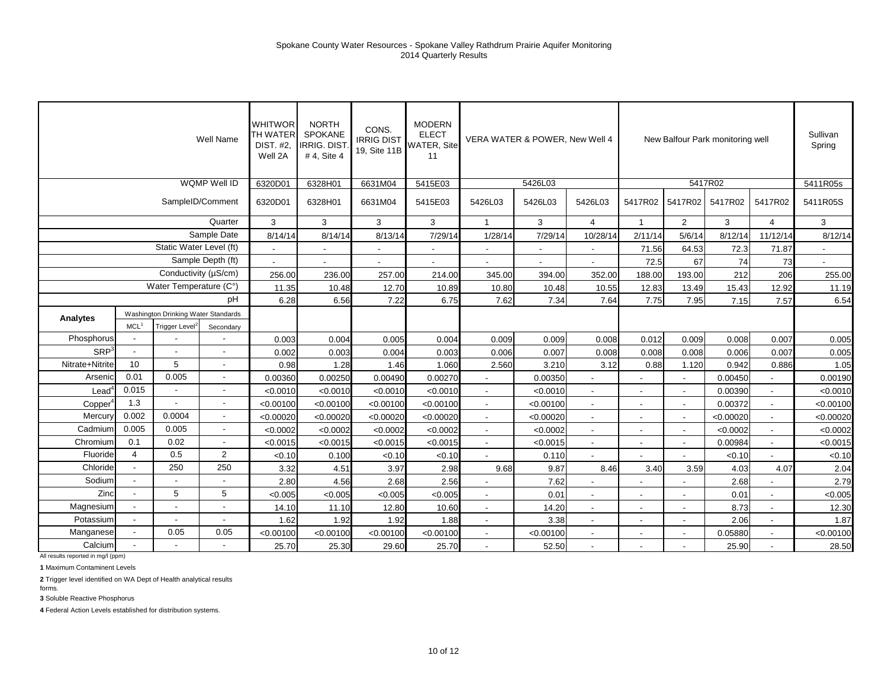|                   |                          |                                     | Well Name                | <b>WHITWOR</b><br>TH WATER<br><b>DIST. #2.</b><br>Well 2A | <b>NORTH</b><br>SPOKANE<br><b>IRRIG. DIST</b><br># 4, Site 4 | CONS.<br><b>IRRIG DIST</b><br>19, Site 11B | <b>MODERN</b><br><b>ELECT</b><br><b>WATER, Site</b><br>11 | VERA WATER & POWER, New Well 4 |                          |                          |                          |                | New Balfour Park monitoring well |                          | Sullivan<br>Spring |
|-------------------|--------------------------|-------------------------------------|--------------------------|-----------------------------------------------------------|--------------------------------------------------------------|--------------------------------------------|-----------------------------------------------------------|--------------------------------|--------------------------|--------------------------|--------------------------|----------------|----------------------------------|--------------------------|--------------------|
|                   |                          |                                     | WQMP Well ID             | 6320D01                                                   | 6328H01                                                      | 6631M04                                    | 5415E03                                                   |                                | 5426L03                  |                          |                          |                | 5417R02                          |                          | 5411R05s           |
|                   |                          |                                     | SampleID/Comment         | 6320D01                                                   | 6328H01                                                      | 6631M04                                    | 5415E03                                                   | 5426L03                        | 5426L03                  | 5426L03                  | 5417R02                  | 5417R02        | 5417R02                          | 5417R02                  | 5411R05S           |
|                   |                          |                                     | Quarter                  | 3                                                         | 3                                                            | 3                                          | 3                                                         | $\mathbf{1}$                   | 3                        | $\overline{4}$           | $\mathbf{1}$             | $\overline{2}$ | 3                                | $\overline{4}$           | 3                  |
|                   |                          |                                     | Sample Date              | 8/14/14                                                   | 8/14/14                                                      | 8/13/14                                    | 7/29/14                                                   | 1/28/14                        | 7/29/14                  | 10/28/14                 | 2/11/14                  | 5/6/14         | 8/12/14                          | 11/12/14                 | 8/12/14            |
|                   |                          | Static Water Level (ft)             |                          |                                                           | $\overline{\phantom{a}}$                                     | $\overline{\phantom{a}}$                   | $\overline{\phantom{a}}$                                  | $\overline{\phantom{a}}$       | $\sim$                   | $\overline{\phantom{a}}$ | 71.56                    | 64.53          | 72.3                             | 71.87                    | $\sim$             |
|                   |                          |                                     | Sample Depth (ft)        |                                                           | $\blacksquare$                                               | $\overline{\phantom{0}}$                   | $\blacksquare$                                            | $\overline{\phantom{a}}$       | $\overline{\phantom{a}}$ | $\sim$                   | 72.5                     | 67             | 74                               | 73                       |                    |
|                   |                          | Conductivity (µS/cm)                |                          | 256.00                                                    | 236.00                                                       | 257.00                                     | 214.00                                                    | 345.00                         | 394.00                   | 352.00                   | 188.00                   | 193.00         | 212                              | 206                      | 255.00             |
|                   |                          | Water Temperature (C°)              |                          | 11.35                                                     | 10.48                                                        | 12.70                                      | 10.89                                                     | 10.80                          | 10.48                    | 10.55                    | 12.83                    | 13.49          | 15.43                            | 12.92                    | 11.19              |
|                   |                          |                                     | pH                       | 6.28                                                      | 6.56                                                         | 7.22                                       | 6.75                                                      | 7.62                           | 7.34                     | 7.64                     | 7.75                     | 7.95           | 7.15                             | 7.57                     | 6.54               |
| Analytes          |                          | Washington Drinking Water Standards |                          |                                                           |                                                              |                                            |                                                           |                                |                          |                          |                          |                |                                  |                          |                    |
|                   | MCL <sup>1</sup>         | Trigger Level <sup>2</sup>          | Secondary                |                                                           |                                                              |                                            |                                                           |                                |                          |                          |                          |                |                                  |                          |                    |
| Phosphorus        | $\overline{\phantom{a}}$ |                                     |                          | 0.003                                                     | 0.004                                                        | 0.005                                      | 0.004                                                     | 0.009                          | 0.009                    | 0.008                    | 0.012                    | 0.009          | 0.008                            | 0.007                    | 0.005              |
| SRP <sup>3</sup>  | $\blacksquare$           | $\overline{a}$                      | $\blacksquare$           | 0.002                                                     | 0.003                                                        | 0.004                                      | 0.003                                                     | 0.006                          | 0.007                    | 0.008                    | 0.008                    | 0.008          | 0.006                            | 0.007                    | 0.005              |
| Nitrate+Nitrite   | 10                       | 5                                   | $\overline{a}$           | 0.98                                                      | 1.28                                                         | 1.46                                       | 1.060                                                     | 2.560                          | 3.210                    | 3.12                     | 0.88                     | 1.120          | 0.942                            | 0.886                    | 1.05               |
| Arsenic           | 0.01                     | 0.005                               | $\blacksquare$           | 0.00360                                                   | 0.00250                                                      | 0.00490                                    | 0.00270                                                   |                                | 0.00350                  |                          | $\blacksquare$           | $\overline{a}$ | 0.00450                          | $\overline{\phantom{a}}$ | 0.00190            |
| Lead <sup>4</sup> | 0.015                    | $\blacksquare$                      | $\blacksquare$           | < 0.0010                                                  | < 0.0010                                                     | < 0.0010                                   | < 0.0010                                                  |                                | < 0.0010                 |                          |                          |                | 0.00390                          |                          | < 0.0010           |
| Copper            | 1.3                      |                                     |                          | < 0.00100                                                 | < 0.00100                                                    | < 0.00100                                  | < 0.00100                                                 |                                | < 0.00100                |                          |                          |                | 0.00372                          |                          | < 0.00100          |
| Mercury           | 0.002                    | 0.0004                              | $\blacksquare$           | < 0.00020                                                 | < 0.00020                                                    | < 0.00020                                  | < 0.00020                                                 | $\overline{\phantom{a}}$       | < 0.00020                | $\sim$                   | $\overline{\phantom{a}}$ | $\sim$         | < 0.00020                        | $\blacksquare$           | < 0.00020          |
| Cadmium           | 0.005                    | 0.005                               | $\blacksquare$           | < 0.0002                                                  | < 0.0002                                                     | < 0.0002                                   | < 0.0002                                                  | $\sim$                         | < 0.0002                 | $\blacksquare$           | $\overline{\phantom{a}}$ | $\blacksquare$ | < 0.0002                         | $\overline{\phantom{a}}$ | < 0.0002           |
| Chromium          | 0.1                      | 0.02                                | $\blacksquare$           | < 0.0015                                                  | < 0.0015                                                     | < 0.0015                                   | < 0.0015                                                  | $\overline{a}$                 | < 0.0015                 | $\sim$                   | $\blacksquare$           | $\overline{a}$ | 0.00984                          | $\blacksquare$           | < 0.0015           |
| Fluoride          | $\overline{4}$           | 0.5                                 | $\overline{2}$           | < 0.10                                                    | 0.100                                                        | < 0.10                                     | < 0.10                                                    |                                | 0.110                    |                          |                          |                | < 0.10                           |                          | < 0.10             |
| Chloride          | $\blacksquare$           | 250                                 | 250                      | 3.32                                                      | 4.51                                                         | 3.97                                       | 2.98                                                      | 9.68                           | 9.87                     | 8.46                     | 3.40                     | 3.59           | 4.03                             | 4.07                     | 2.04               |
| Sodium            |                          |                                     |                          | 2.80                                                      | 4.56                                                         | 2.68                                       | 2.56                                                      |                                | 7.62                     |                          |                          |                | 2.68                             |                          | 2.79               |
| Zinc              |                          | 5                                   | 5                        | < 0.005                                                   | < 0.005                                                      | < 0.005                                    | < 0.005                                                   |                                | 0.01                     |                          |                          |                | 0.01                             |                          | < 0.005            |
| Magnesium         |                          | $\overline{\phantom{a}}$            | $\overline{\phantom{a}}$ | 14.10                                                     | 11.10                                                        | 12.80                                      | 10.60                                                     | $\sim$                         | 14.20                    | $\sim$                   | $\overline{\phantom{a}}$ | $\blacksquare$ | 8.73                             | $\overline{\phantom{a}}$ | 12.30              |
| Potassium         |                          | $\overline{a}$                      | $\overline{a}$           | 1.62                                                      | 1.92                                                         | 1.92                                       | 1.88                                                      | $\overline{\phantom{a}}$       | 3.38                     | $\sim$                   | $\overline{\phantom{a}}$ | $\blacksquare$ | 2.06                             | $\overline{\phantom{a}}$ | 1.87               |
| Manganese         |                          | 0.05                                | 0.05                     | < 0.00100                                                 | < 0.00100                                                    | < 0.00100                                  | < 0.00100                                                 |                                | < 0.00100                |                          |                          | $\overline{a}$ | 0.05880                          | $\blacksquare$           | < 0.00100          |
| Calcium           |                          |                                     | $\blacksquare$           | 25.70                                                     | 25.30                                                        | 29.60                                      | 25.70                                                     |                                | 52.50                    |                          |                          |                | 25.90                            |                          | 28.50              |

**1** Maximum Contaminent Levels

**2** Trigger level identified on WA Dept of Health analytical results

forms.

**3** Soluble Reactive Phosphorus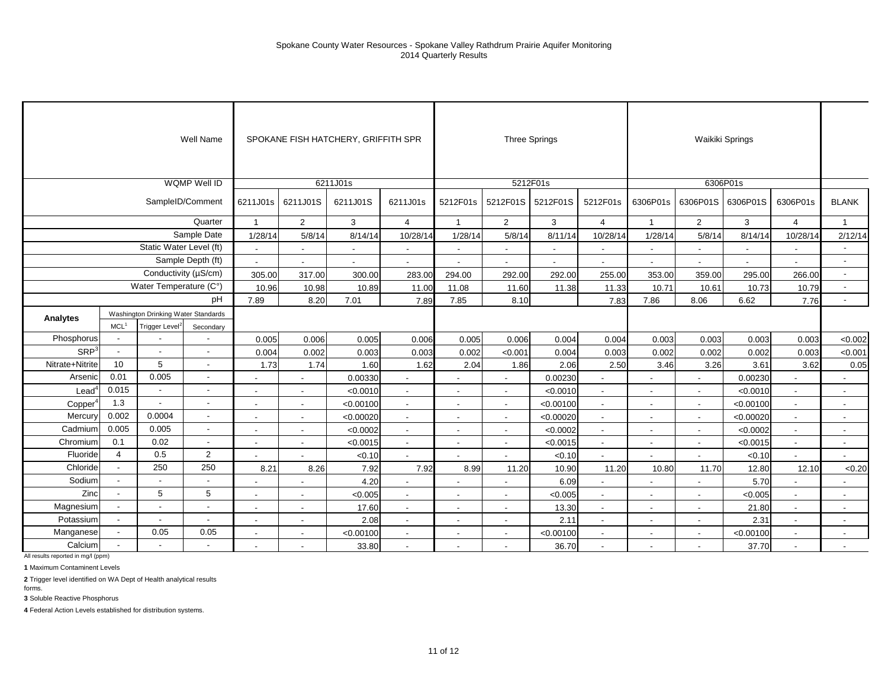## Spokane County Water Resources - Spokane Valley Rathdrum Prairie Aquifer Monitoring 2014 Quarterly Results

|                     |                          |                                     | Well Name                |                          |                          | SPOKANE FISH HATCHERY, GRIFFITH SPR |                          |                          |                          | Three Springs  |                          |                          | Waikiki Springs          |                          |                          |                          |
|---------------------|--------------------------|-------------------------------------|--------------------------|--------------------------|--------------------------|-------------------------------------|--------------------------|--------------------------|--------------------------|----------------|--------------------------|--------------------------|--------------------------|--------------------------|--------------------------|--------------------------|
|                     |                          |                                     | <b>WQMP Well ID</b>      |                          |                          | 6211J01s                            |                          |                          |                          | 5212F01s       |                          |                          | 6306P01s                 |                          |                          |                          |
|                     |                          |                                     | SampleID/Comment         | 6211J01s                 | 6211J01S                 | 6211J01S                            | 6211J01s                 | 5212F01s                 | 5212F01S                 | 5212F01S       | 5212F01s                 | 6306P01s                 | 6306P01S                 | 6306P01S                 | 6306P01s                 | <b>BLANK</b>             |
|                     |                          |                                     | Quarter                  | $\mathbf{1}$             | 2                        | 3                                   | $\overline{4}$           | $\overline{1}$           | 2                        | 3              | $\overline{4}$           | $\overline{1}$           | $\overline{2}$           | 3                        | $\overline{4}$           | $\mathbf{1}$             |
|                     |                          |                                     | Sample Date              | 1/28/14                  | 5/8/14                   | 8/14/14                             | 10/28/14                 | 1/28/14                  | 5/8/14                   | 8/11/14        | 10/28/14                 | 1/28/14                  | 5/8/14                   | 8/14/14                  | 10/28/14                 | 2/12/14                  |
|                     |                          | Static Water Level (ft)             |                          | $\overline{\phantom{a}}$ | $\overline{a}$           | $\overline{\phantom{a}}$            | $\overline{\phantom{a}}$ | $\overline{\phantom{a}}$ | $\overline{\phantom{a}}$ | $\overline{a}$ | $\sim$                   |                          | $\overline{\phantom{a}}$ | $\overline{\phantom{a}}$ | $\overline{\phantom{a}}$ |                          |
|                     |                          |                                     | Sample Depth (ft)        | $\sim$                   | $\blacksquare$           | $\sim$                              | $\overline{\phantom{a}}$ | $\overline{a}$           | $\blacksquare$           | $\sim$         | $\overline{\phantom{a}}$ | $\overline{\phantom{a}}$ |                          | $\overline{\phantom{a}}$ | $\overline{\phantom{a}}$ | $\blacksquare$           |
|                     |                          | Conductivity (µS/cm)                |                          | 305.00                   | 317.00                   | 300.00                              | 283.00                   | 294.00                   | 292.00                   | 292.00         | 255.00                   | 353.00                   | 359.00                   | 295.00                   | 266.00                   | $\blacksquare$           |
|                     |                          | Water Temperature (C°)              |                          | 10.96                    | 10.98                    | 10.89                               | 11.00                    | 11.08                    | 11.60                    | 11.38          | 11.33                    | 10.71                    | 10.61                    | 10.73                    | 10.79                    | $\blacksquare$           |
|                     |                          |                                     | pH                       | 7.89                     | 8.20                     | 7.01                                | 7.89                     | 7.85                     | 8.10                     |                | 7.83                     | 7.86                     | 8.06                     | 6.62                     | 7.76                     | $\overline{\phantom{a}}$ |
| Analytes            |                          | Washington Drinking Water Standards |                          |                          |                          |                                     |                          |                          |                          |                |                          |                          |                          |                          |                          |                          |
|                     | MCL <sup>1</sup>         | Trigger Level <sup>2</sup>          | Secondary                |                          |                          |                                     |                          |                          |                          |                |                          |                          |                          |                          |                          |                          |
| Phosphorus          |                          |                                     |                          | 0.005                    | 0.006                    | 0.005                               | 0.006                    | 0.005                    | 0.006                    | 0.004          | 0.004                    | 0.003                    | 0.003                    | 0.003                    | 0.003                    | < 0.002                  |
| SRP <sup>3</sup>    | $\overline{\phantom{a}}$ | $\overline{\phantom{a}}$            | $\sim$                   | 0.004                    | 0.002                    | 0.003                               | 0.003                    | 0.002                    | < 0.001                  | 0.004          | 0.003                    | 0.002                    | 0.002                    | 0.002                    | 0.003                    | < 0.001                  |
| Nitrate+Nitrite     | 10                       | 5                                   | $\sim$                   | 1.73                     | 1.74                     | 1.60                                | 1.62                     | 2.04                     | 1.86                     | 2.06           | 2.50                     | 3.46                     | 3.26                     | 3.61                     | 3.62                     | 0.05                     |
| Arsenic             | 0.01                     | 0.005                               | $\overline{\phantom{a}}$ |                          |                          | 0.00330                             |                          |                          | $\blacksquare$           | 0.00230        | $\blacksquare$           |                          |                          | 0.00230                  | $\blacksquare$           |                          |
| $\text{Lead}^4$     | 0.015                    | $\overline{\phantom{a}}$            | $\blacksquare$           | $\overline{\phantom{a}}$ | $\overline{\phantom{a}}$ | < 0.0010                            | $\sim$                   | $\blacksquare$           | $\overline{\phantom{a}}$ | < 0.0010       | $\overline{\phantom{a}}$ | $\sim$                   | $\overline{\phantom{a}}$ | < 0.0010                 | $\sim$                   | $\sim$                   |
| Copper <sup>4</sup> | 1.3                      |                                     | $\sim$                   | $\overline{\phantom{a}}$ | $\blacksquare$           | < 0.00100                           | $\blacksquare$           | $\overline{\phantom{a}}$ | $\blacksquare$           | < 0.00100      | $\blacksquare$           | $\overline{\phantom{a}}$ |                          | < 0.00100                | $\blacksquare$           |                          |
| Mercury             | 0.002                    | 0.0004                              |                          |                          | $\overline{\phantom{a}}$ | < 0.00020                           | $\blacksquare$           | $\overline{\phantom{a}}$ | $\blacksquare$           | < 0.00020      | $\blacksquare$           |                          |                          | < 0.00020                | $\sim$                   |                          |
| Cadmium             | 0.005                    | 0.005                               | $\overline{\phantom{a}}$ | $\overline{\phantom{a}}$ | $\overline{\phantom{a}}$ | < 0.0002                            | $\sim$                   | $\overline{\phantom{a}}$ | $\overline{\phantom{a}}$ | < 0.0002       | $\overline{\phantom{a}}$ | $\overline{\phantom{a}}$ | $\overline{\phantom{a}}$ | < 0.0002                 | $\overline{\phantom{a}}$ | $\overline{\phantom{a}}$ |
| Chromium            | 0.1                      | 0.02                                | $\sim$                   | $\overline{\phantom{a}}$ | $\sim$                   | < 0.0015                            | $\overline{\phantom{a}}$ | $\blacksquare$           | $\blacksquare$           | < 0.0015       | $\overline{\phantom{a}}$ | $\sim$                   | $\blacksquare$           | < 0.0015                 | $\sim$                   | $\sim$                   |
| Fluoride            | $\overline{4}$           | 0.5                                 | $\sqrt{2}$               | $\overline{\phantom{a}}$ |                          | < 0.10                              | $\blacksquare$           | $\overline{\phantom{a}}$ | $\blacksquare$           | < 0.10         | $\blacksquare$           |                          |                          | < 0.10                   | $\blacksquare$           |                          |
| Chloride            | $\blacksquare$           | 250                                 | 250                      | 8.21                     | 8.26                     | 7.92                                | 7.92                     | 8.99                     | 11.20                    | 10.90          | 11.20                    | 10.80                    | 11.70                    | 12.80                    | 12.10                    | < 0.20                   |
| Sodium              | $\overline{\phantom{a}}$ | $\overline{\phantom{a}}$            | $\blacksquare$           | $\overline{\phantom{a}}$ | $\blacksquare$           | 4.20                                | $\blacksquare$           | $\blacksquare$           | $\blacksquare$           | 6.09           | $\mathbf{r}$             | $\sim$                   | $\overline{\phantom{a}}$ | 5.70                     | $\mathbf{r}$             | $\overline{\phantom{a}}$ |
| Zinc                | $\blacksquare$           | 5                                   | 5                        | $\overline{\phantom{a}}$ | $\blacksquare$           | < 0.005                             | $\overline{a}$           | $\blacksquare$           | $\overline{\phantom{a}}$ | < 0.005        | $\overline{a}$           |                          |                          | < 0.005                  | $\overline{a}$           |                          |
| Magnesium           | $\blacksquare$           |                                     |                          |                          |                          | 17.60                               | $\overline{\phantom{a}}$ | $\overline{\phantom{a}}$ |                          | 13.30          | $\blacksquare$           |                          |                          | 21.80                    | $\overline{\phantom{a}}$ |                          |
| Potassium           |                          |                                     | $\overline{\phantom{a}}$ | $\overline{\phantom{a}}$ | $\overline{\phantom{a}}$ | 2.08                                | $\sim$                   | $\overline{\phantom{a}}$ | $\overline{\phantom{a}}$ | 2.11           | $\sim$                   | $\overline{\phantom{a}}$ | $\overline{\phantom{a}}$ | 2.31                     | $\overline{\phantom{a}}$ | $\sim$                   |
| Manganese           | $\blacksquare$           | 0.05                                | 0.05                     | $\overline{\phantom{a}}$ | $\blacksquare$           | < 0.00100                           | $\sim$                   | $\overline{\phantom{a}}$ | $\blacksquare$           | < 0.00100      | $\overline{\phantom{a}}$ | $\blacksquare$           | $\overline{\phantom{a}}$ | < 0.00100                | $\sim$                   | $\overline{\phantom{a}}$ |
| Calcium             |                          |                                     | $\overline{\phantom{a}}$ | $\overline{\phantom{a}}$ |                          | 33.80                               | $\overline{\phantom{a}}$ | $\blacksquare$           | $\overline{\phantom{a}}$ | 36.70          | $\blacksquare$           | $\blacksquare$           |                          | 37.70                    | $\blacksquare$           |                          |

All results reported in mg/l (ppm)

**1** Maximum Contaminent Levels

**2** Trigger level identified on WA Dept of Health analytical results

**3** Soluble Reactive Phosphorus forms.